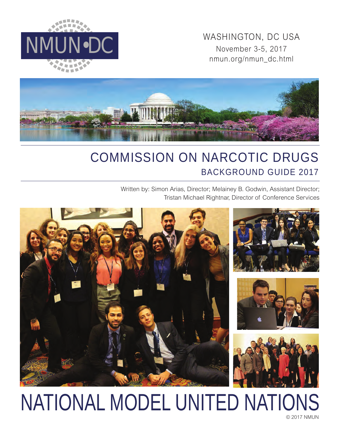MMUN•DC WASHINGTON, DC USA<br>November 3-5, 2017 November 3-5, 2017 nmun.org/nmun\_dc.html





## COMMISSION ON NARCOTIC DRUGS BACKGROUND GUIDE 2017

Written by: Simon Arias, Director; Melainey B. Godwin, Assistant Director; Tristan Michael Rightnar, Director of Conference Services



# NATIONAL MODEL UNITED NATIONS

© 2017 NMUN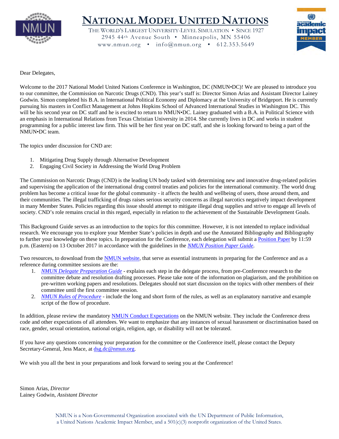

### **NATIONAL MODEL UNITED NATIONS**

THE WORLD'S LARGEST UNIVERSITY-LEVEL SIMULATION • SINCE 1927 2945 44th Avenue South • Minneapolis, MN 55406 www.nmun.org • info@nmun.org • 612.353.5649



Dear Delegates,

Welcome to the 2017 National Model United Nations Conference in Washington, DC (NMUN•DC)! We are pleased to introduce you to our committee, the Commission on Narcotic Drugs (CND). This year's staff is: Director Simon Arias and Assistant Director Lainey Godwin. Simon completed his B.A. in International Political Economy and Diplomacy at the University of Bridgeport. He is currently pursuing his masters in Conflict Management at Johns Hopkins School of Advanced International Studies in Washington DC. This will be his second year on DC staff and he is excited to return to NMUN•DC. Lainey graduated with a B.A. in Political Science with an emphasis in International Relations from Texas Christian University in 2014. She currently lives in DC and works in student programming for a public interest law firm. This will be her first year on DC staff, and she is looking forward to being a part of the NMUN•DC team.

The topics under discussion for CND are:

- 1. Mitigating Drug Supply through Alternative Development
- 2. Engaging Civil Society in Addressing the World Drug Problem

The Commission on Narcotic Drugs (CND) is the leading UN body tasked with determining new and innovative drug-related policies and supervising the application of the international drug control treaties and policies for the international community. The world drug problem has become a critical issue for the global community - it affects the health and wellbeing of users, those around them, and their communities. The illegal trafficking of drugs raises serious security concerns as illegal narcotics negatively impact development in many Member States. Policies regarding this issue should attempt to mitigate illegal drug supplies and strive to engage all levels of society. CND's role remains crucial in this regard, especially in relation to the achievement of the Sustainable Development Goals.

This Background Guide serves as an introduction to the topics for this committee. However, it is not intended to replace individual research. We encourage you to explore your Member State's policies in depth and use the Annotated Bibliography and Bibliography to further your knowledge on these topics. In preparation for the Conference, each delegation will submit a [Position Paper](http://nmun.org/dc_position_papers.html) by 11:59 p.m. (Eastern) on 13 October 2017 in accordance with the guidelines in the *[NMUN Position Paper Guide](http://nmun.org/downloads/NMUNPPGuide.pdf)*.

Two resources, to download from the [NMUN website,](http://nmun.org/dc_preparations.html) that serve as essential instruments in preparing for the Conference and as a reference during committee sessions are the:

- 1. *[NMUN Delegate Preparation Guide](http://nmun.org/downloads/NMUNDelegatePrepGuide.pdf)* explains each step in the delegate process, from pre-Conference research to the committee debate and resolution drafting processes. Please take note of the information on plagiarism, and the prohibition on pre-written working papers and resolutions. Delegates should not start discussion on the topics with other members of their committee until the first committee session.
- 2. *[NMUN Rules of Procedure](http://nmun.org/downloads/NMUNRules.pdf)* include the long and short form of the rules, as well as an explanatory narrative and example script of the flow of procedure.

In addition, please review the mandatory [NMUN Conduct](http://nmun.org/policies_codes.html) Expectations on the NMUN website. They include the Conference dress code and other expectations of all attendees. We want to emphasize that any instances of sexual harassment or discrimination based on race, gender, sexual orientation, national origin, religion, age, or disability will not be tolerated.

If you have any questions concerning your preparation for the committee or the Conference itself, please contact the Deputy Secretary-General, Jess Mace, at [dsg.dc@nmun.org.](mailto:dsg.dc@nmun.org)

We wish you all the best in your preparations and look forward to seeing you at the Conference!

Simon Arias, *Director* Lainey Godwin, *Assistant Director*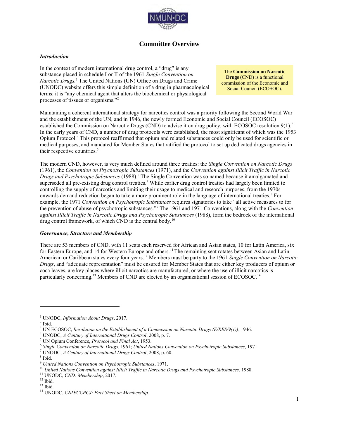

#### **Committee Overview**

#### *Introduction*

In the context of modern international drug control, a "drug" is any substance placed in schedule I or II of the 1961 *Single Convention on Narcotic Drugs.*<sup>1</sup> The United Nations (UN) Office on Drugs and Crime (UNODC) website offers this simple definition of a drug in pharmacological terms: it is "any chemical agent that alters the biochemical or physiological processes of tissues or organisms."<sup>2</sup>

The **Commission on Narcotic Drugs** (CND) is a functional commission of the Economic and Social Council (ECOSOC).

Maintaining a coherent international strategy for narcotics control was a priority following the Second World War and the establishment of the UN, and in 1946, the newly formed Economic and Social Council (ECOSOC) established the Commission on Narcotic Drugs (CND) to advise it on drug policy, with ECOSOC resolution 9(1).<sup>3</sup> In the early years of CND, a number of drug protocols were established, the most significant of which was the 1953 Opium Protocol.<sup>4</sup> This protocol reaffirmed that opium and related substances could only be used for scientific or medical purposes, and mandated for Member States that ratified the protocol to set up dedicated drugs agencies in their respective countries.<sup>5</sup>

The modern CND, however, is very much defined around three treaties: the *Single Convention on Narcotic Drugs* (1961), the *Convention on Psychotropic Substances* (1971), and the *Convention against Illicit Traffic in Narcotic Drugs and Psychotropic Substances* (1988).<sup>6</sup> The Single Convention was so named because it amalgamated and superseded all pre-existing drug control treaties.<sup>7</sup> While earlier drug control treaties had largely been limited to controlling the supply of narcotics and limiting their usage to medical and research purposes, from the 1970s onwards demand reduction began to take a more prominent role in the language of international treaties.<sup>8</sup> For example, the 1971 *Convention on Psychotropic Substances* requires signatories to take "all active measures to for the prevention of abuse of psychotropic substances."<sup>9</sup> The 1961 and 1971 Conventions, along with the *Convention against Illicit Traffic in Narcotic Drugs and Psychotropic Substances* (1988), form the bedrock of the international drug control framework, of which CND is the central body.<sup>10</sup>

#### *Governance, Structure and Membership*

There are 53 members of CND, with 11 seats each reserved for African and Asian states, 10 for Latin America, six for Eastern Europe, and 14 for Western Europe and others.<sup>11</sup> The remaining seat rotates between Asian and Latin American or Caribbean states every four years.<sup>12</sup> Members must be party to the 1961 *Single Convention on Narcotic Drugs*, and "adequate representation" must be ensured for Member States that are either key producers of opium or coca leaves, are key places where illicit narcotics are manufactured, or where the use of illicit narcotics is particularly concerning.<sup>13</sup> Members of CND are elected by an organizational session of ECOSOC.<sup>14</sup>

 $\overline{a}$ 

6 *Single Convention on Narcotic Drugs*, 1961; *United Nations Convention on Psychotropic Substances*, 1971.

<sup>1</sup> UNODC, *Information About Drugs*, 2017.

 $<sup>2</sup>$  Ibid.</sup>

<sup>3</sup> UN ECOSOC, *Resolution on the Establishment of a Commission on Narcotic Drugs (E/RES/9(1))*, 1946.

<sup>4</sup> UNODC, *A Century of International Drugs Control*, 2008, p. 7.

<sup>5</sup> UN Opium Conference, *Protocol and Final Act*, 1953.

<sup>7</sup> UNODC, *A Century of International Drugs Control*, 2008, p. 60.

<sup>8</sup> Ibid.

<sup>9</sup> *United Nations Convention on Psychotropic Substances*, 1971.

<sup>10</sup> *United Nations Convention against Illicit Traffic in Narcotic Drugs and Psychotropic Substances*, 1988.

<sup>11</sup> UNODC, *CND: Membership*, 2017*.*

 $12$  Ibid.

 $13$  Ibid.

<sup>14</sup> UNODC, *CND/CCPCJ: Fact Sheet on Membership.*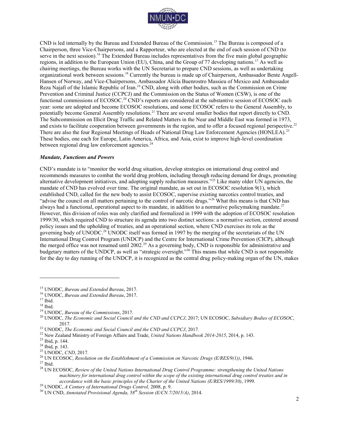

CND is led internally by the Bureau and Extended Bureau of the Commission.<sup>15</sup> The Bureau is composed of a Chairperson, three Vice-Chairpersons, and a Rapporteur, who are elected at the end of each session of CND (to serve in the next session).<sup>16</sup> The Extended Bureau includes representatives from the five main global geographic regions, in addition to the European Union (EU), China, and the Group of 77 developing nations.<sup>17</sup> As well as chairing meetings, the Bureau works with the UN Secretariat to prepare CND sessions, as well as undertaking organizational work between sessions.18 Currently the bureau is made up of Chairperson, Ambassador Bente Angell-Hansen of Norway, and Vice-Chairpersons, Ambassador Alicia Buenrostro Massieu of Mexico and Ambassador Reza Najafi of the Islamic Republic of Iran.<sup>19</sup> CND, along with other bodies, such as the Commission on Crime Prevention and Criminal Justice (CCPCJ) and the Commission on the Status of Women (CSW), is one of the functional commissions of ECOSOC.<sup>20</sup> CND's reports are considered at the substantive session of ECOSOC each year: some are adopted and become ECOSOC resolutions, and some ECOSOC refers to the General Assembly, to potentially become General Assembly resolutions.<sup>21</sup> There are several smaller bodies that report directly to CND. The Subcommission on Illicit Drug Traffic and Related Matters in the Near and Middle East was formed in 1973, and exists to facilitate cooperation between governments in the region, and to offer a focused regional perspective.<sup>22</sup> There are also the four Regional Meetings of Heads of National Drug Law Enforcement Agencies (HONLEA).<sup>23</sup> These bodies, one each for Europe, Latin America, Africa, and Asia, exist to improve high-level coordination between regional drug law enforcement agencies. $^{24}$ 

#### *Mandate, Functions and Powers*

CND's mandate is to "monitor the world drug situation, develop strategies on international drug control and recommends measures to combat the world drug problem, including through reducing demand for drugs, promoting alternative development initiatives, and adopting supply reduction measures."<sup>25</sup> Like many older UN agencies, the mandate of CND has evolved over time. The original mandate, as set out in ECOSOC resolution 9(1), which established CND, called for the new body to assist ECOSOC, supervise existing narcotics control treaties, and "advise the council on all matters pertaining to the control of narcotic drugs."<sup>26</sup> What this means is that CND has always had a functional, operational aspect to its mandate, in addition to a normative policymaking mandate.<sup>27</sup> However, this division of roles was only clarified and formalized in 1999 with the adoption of ECOSOC resolution 1999/30, which required CND to structure its agenda into two distinct sections: a normative section, centered around policy issues and the upholding of treaties, and an operational section, where CND exercises its role as the governing body of UNODC.<sup>28</sup> UNODC itself was formed in 1997 by the merging of the secretariats of the UN International Drug Control Program (UNDCP) and the Centre for International Crime Prevention (CICP), although the merged office was not renamed until 2002.<sup>29</sup> As a governing body, CND is responsible for administrative and budgetary matters of the UNDCP, as well as "strategic oversight."<sup>30</sup> This means that while CND is not responsible for the day to day running of the UNDCP, it is recognized as the central drug policy-making organ of the UN, makes

<sup>15</sup> UNODC, *Bureau and Extended Bureau*, 2017.

<sup>16</sup> UNODC, *Bureau and Extended Bureau*, 2017.

 $17$  Ibid.

 $^{18}$  Ibid.

<sup>19</sup> UNODC, *Bureau of the Commissions*, 2017.

<sup>20</sup> UNODC, *The Economic and Social Council and the CND and CCPCJ*, 2017; UN ECOSOC, *Subsidiary Bodies of ECOSOC*, 2017*.* 

<sup>21</sup> UNODC, *The Economic and Social Council and the CND and CCPCJ*, 2017*.* 

<sup>22</sup> New Zealand Ministry of Foreign Affairs and Trade, *United Nations Handbook 2014-2015*, 2014, p. 143.

<sup>23</sup> Ibid, p. 144.

<sup>24</sup> Ibid, p. 143.

<sup>25</sup> UNODC, *CND*, 2017*.*

<sup>26</sup> UN ECOSOC, *Resolution on the Establishment of a Commission on Narcotic Drugs (E/RES/9(1))*, 1946.

 $^{\rm 27}$  Ibid.

<sup>28</sup> UN ECOSOC, *Review of the United Nations International Drug Control Programme: strengthening the United Nations machinery for international drug control within the scope of the existing international drug control treaties and in accordance with the basic principles of the Charter of the United Nations (E/RES/1999/30)*, 1999.

<sup>29</sup> UNODC, *A Century of International Drugs Control,* 2008, p. 9.

<sup>30</sup> UN CND, *Annotated Provisional Agenda, 58th Session (E/CN.7/2015/A)*, 2014.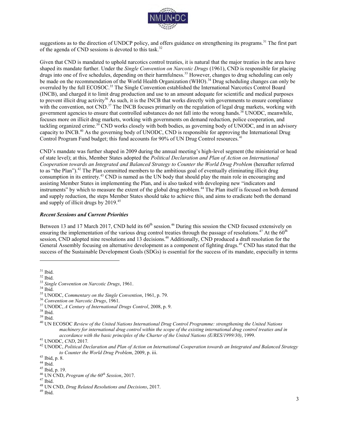

suggestions as to the direction of UNDCP policy, and offers guidance on strengthening its programs.<sup>31</sup> The first part of the agenda of CND sessions is devoted to this task.<sup>32</sup>

Given that CND is mandated to uphold narcotics control treaties, it is natural that the major treaties in the area have shaped its mandate further. Under the *Single Convention on Narcotic Drugs* (1961), CND is responsible for placing drugs into one of five schedules, depending on their harmfulness.<sup>33</sup> However, changes to drug scheduling can only be made on the recommendation of the World Health Organization (WHO).<sup>34</sup> Drug scheduling changes can only be overruled by the full ECOSOC.<sup>35</sup> The Single Convention established the International Narcotics Control Board (INCB), and charged it to limit drug production and use to an amount adequate for scientific and medical purposes to prevent illicit drug activity<sup>36</sup> As such, it is the INCB that works directly with governments to ensure compliance with the convention, not CND.<sup>37</sup> The INCB focuses primarily on the regulation of legal drug markets, working with government agencies to ensure that controlled substances do not fall into the wrong hands.<sup>38</sup> UNODC, meanwhile, focuses more on illicit drug markets, working with governments on demand reduction, police cooperation, and tackling organized crime.<sup>39</sup> CND works closely with both bodies, as governing body of UNODC, and in an advisory capacity to INCB.<sup>40</sup> As the governing body of UNODC, CND is responsible for approving the International Drug Control Program Fund budget; this fund accounts for 90% of UN Drug Control resources.<sup>41</sup>

CND's mandate was further shaped in 2009 during the annual meeting's high-level segment (the ministerial or head of state level); at this, Member States adopted the *Political Declaration and Plan of Action on International Cooperation towards an Integrated and Balanced Strategy to Counter the World Drug Problem* (hereafter referred to as "the Plan").<sup>42</sup> The Plan committed members to the ambitious goal of eventually eliminating illicit drug consumption in its entirety.<sup>43</sup> CND is named as the UN body that should play the main role in encouraging and assisting Member States in implementing the Plan, and is also tasked with developing new "indicators and instruments" by which to measure the extent of the global drug problem.<sup>44</sup> The Plan itself is focused on both demand and supply reduction, the steps Member States should take to achieve this, and aims to eradicate both the demand and supply of illicit drugs by 2019.<sup>45</sup>

#### *Recent Sessions and Current Priorities*

Between 13 and 17 March 2017, CND held its  $60<sup>th</sup>$  session.<sup>46</sup> During this session the CND focused extensively on ensuring the implementation of the various drug control treaties through the passage of resolutions.<sup>47</sup> At the  $60<sup>th</sup>$ session, CND adopted nine resolutions and 13 decisions.<sup>48</sup> Additionally, CND produced a draft resolution for the General Assembly focusing on alternative development as a component of fighting drugs.<sup>49</sup> CND has stated that the success of the Sustainable Development Goals (SDGs) is essential for the success of its mandate, especially in terms

 $31$  Ibid.

<sup>32</sup> Ibid.

<sup>33</sup> *Single Convention on Narcotic Drugs*, 1961.

 $^{34}$  Ibid.

<sup>35</sup> UNODC, *Commentary on the Single Convention*, 1961, p. 79.

<sup>36</sup> *Convention on Narcotic Drugs*, 1961.

<sup>37</sup> UNODC, *A Century of International Drugs Control*, 2008, p. 9.

<sup>38</sup> Ibid.

<sup>39</sup> Ibid.

<sup>40</sup> UN ECOSOC *Review of the United Nations International Drug Control Programme: strengthening the United Nations machinery for international drug control within the scope of the existing international drug control treaties and in accordance with the basic principles of the Charter of the United Nations (E/RES/1999/30)*, 1999.

<sup>41</sup> UNODC, *CND*, 2017*.*

<sup>42</sup> UNODC, *Political Declaration and Plan of Action on International Cooperation towards an Integrated and Balanced Strategy to Counter the World Drug Problem*, 2009, p. iii.

<sup>43</sup> Ibid, p. 8.

 $44$  Ibid.

<sup>45</sup> Ibid, p. 19.

<sup>46</sup> UN CND, *Program of the 60th Session*, 2017.

 $47$  Ibid.

<sup>48</sup> UN CND, *Drug Related Resolutions and Decisions*, 2017.

 $^{\rm 49}$  Ibid.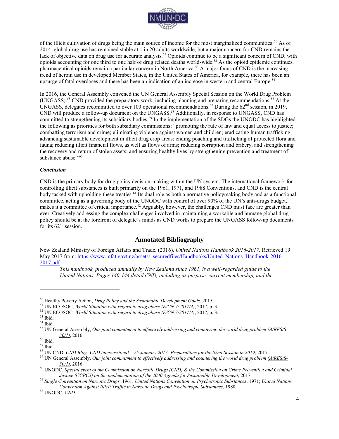

of the illicit cultivation of drugs being the main source of income for the most marginalized communities.<sup>50</sup> As of 2014, global drug use has remained stable at 1 in 20 adults worldwide, but a major concern for CND remains the lack of objective data on drug use for accurate analysis.<sup>51</sup> Opioids continue to be a significant concern of CND, with opioids accounting for one third to one half of drug related deaths world-wide.<sup>52</sup> As the opioid epidemic continues, pharmaceutical opioids remain a particular concern in North America.<sup>53</sup> A major focus of CND is the increasing trend of heroin use in developed Member States, in the United States of America, for example, there has been an upsurge of fatal overdoses and there has been an indication of an increase in western and central Europe.<sup>54</sup>

In 2016, the General Assembly convened the UN General Assembly Special Session on the World Drug Problem (UNGASS).<sup>55</sup> CND provided the preparatory work, including planning and preparing recommendations.<sup>56</sup> At the UNGASS, delegates recommitted to over 100 operational recommendations.<sup>57</sup> During the  $62<sup>nd</sup>$  session, in 2019, CND will produce a follow-up document on the UNGASS.<sup>58</sup> Additionally, in response to UNGASS, CND has committed to strengthening its subsidiary bodies.<sup>59</sup> In the implementation of the SDGs the UNODC has highlighted the following as priorities for both subsidiary commissions: "promoting the rule of law and equal access to justice; combatting terrorism and crime; eliminating violence against women and children; eradicating human trafficking; advancing sustainable development in illicit drug crop areas; ending poaching and trafficking of protected flora and fauna; reducing illicit financial flows, as well as flows of arms; reducing corruption and bribery, and strengthening the recovery and return of stolen assets; and ensuring healthy lives by strengthening prevention and treatment of substance abuse."<sup>60</sup>

#### *Conclusion*

CND is the primary body for drug policy decision-making within the UN system. The international framework for controlling illicit substances is built primarily on the 1961, 1971, and 1988 Conventions, and CND is the central body tasked with upholding these treaties.<sup>61</sup> Its dual role as both a normative policymaking body and as a functional committee, acting as a governing body of the UNODC with control of over 90% of the UN's anti-drugs budget, makes it a committee of critical importance.<sup>62</sup> Arguably, however, the challenges CND must face are greater than ever. Creatively addressing the complex challenges involved in maintaining a workable and humane global drug policy should be at the forefront of delegate's minds as CND works to prepare the UNGASS follow-up documents for its  $62<sup>nd</sup>$  session.

#### **Annotated Bibliography**

New Zealand Ministry of Foreign Affairs and Trade. (2016). *United Nations Handbook 2016-2017.* Retrieved 19 May 2017 from: [https://www.mfat.govt.nz/assets/\\_securedfiles/Handbooks/United\\_Nations\\_Handbook-2016-](https://www.mfat.govt.nz/assets/_securedfiles/Handbooks/United_Nations_Handbook-2016-2017.pdf) [2017.pdf](https://www.mfat.govt.nz/assets/_securedfiles/Handbooks/United_Nations_Handbook-2016-2017.pdf) 

*This handbook, produced annually by New Zealand since 1961, is a well-regarded guide to the United Nations. Pages 140-144 detail CND, including its purpose, current membership, and the* 

<sup>50</sup> Healthy Poverty Action, *Drug Policy and the Sustainable Development Goals*, 2015.

<sup>51</sup> UN ECOSOC, *World Situation with regard to drug abuse (E/CN.7/2017/4)*, 2017, p. 3.

<sup>52</sup> UN ECOSOC, *World Situation with regard to drug abuse (E/CN.7/2017/4)*, 2017, p. 3.

<sup>53</sup> Ibid.

<sup>54</sup> Ibid.

<sup>55</sup> UN General Assembly, *Our joint commitment to effectively addressing and countering the world drug problem (A/RES/S-30/1)*, 2016.

<sup>56</sup> Ibid.

 $^{\rm 57}$  Ibid.

<sup>58</sup> UN CND, *CND Blog: CND intersessional – 25 January 2017: Preparations for the 62nd Session in 2019*, 2017.

<sup>59</sup> UN General Assembly, *Our joint commitment to effectively addressing and countering the world drug problem (A/RES/S-30/1)*, 2016.

<sup>60</sup> UNODC, *Special event of the Commission on Narcotic Drugs (CND) & the Commission on Crime Prevention and Criminal Justice (CCPCJ) on the implementation of the 2030 Agenda for Sustainable Development*, 2017.

<sup>61</sup> *Single Convention on Narcotic Drugs,* 1961; *United Nations Convention on Psychotropic Substances*, 1971; *United Nations Convention Against Illicit Traffic in Narcotic Drugs and Psychotropic Substances*, 1988.

<sup>62</sup> UNODC, *CND.*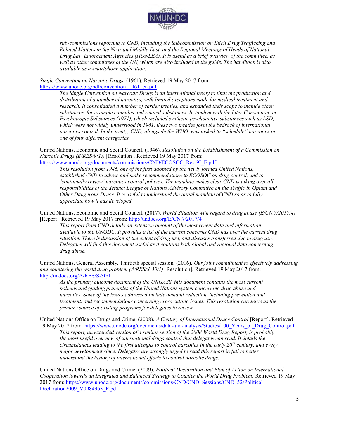

*sub-commissions reporting to CND, including the Subcommission on Illicit Drug Trafficking and Related Matters in the Near and Middle East, and the Regional Meetings of Heads of National Drug Law Enforcement Agencies (HONLEA). It is useful as a brief overview of the committee, as well as other committees of the UN, which are also included in the guide. The handbook is also available as [a](file:///C:/Users/Lauren/Dropbox/NMUN-NY%202016%20-%20Writing%20Process%20(USGs)/BGGs/4%20-%20Final%20Drafts/ECOSOC/Track%20Changes/a) smartphone application.* 

*Single Convention on Narcotic Drugs.* (1961). Retrieved 19 May 2017 from: [https://www.unodc.org/pdf/convention\\_1961\\_en.pdf](https://www.unodc.org/pdf/convention_1961_en.pdf)

> *The Single Convention on Narcotic Drugs is an international treaty to limit the production and distribution of a number of narcotics, with limited exceptions made for medical treatment and research. It consolidated a number of earlier treaties, and expanded their scope to include other substances, for example cannabis and related substances. In tandem with the later Convention on Psychotropic Substances (1971), which included synthetic psychoactive substances such as LSD, which were not widely understood in 1961, these two treaties form the bedrock of international narcotics control. In the treaty, CND, alongside the WHO, was tasked to "schedule" narcotics in one of four different categories.*

United Nations, Economic and Social Council. (1946). *Resolution on the Establishment of a Commission on Narcotic Drugs (E/RES/9(1))* [Resolution]*.* Retrieved 19 May 2017 from:

[https://www.unodc.org/documents/commissions/CND/ECOSOC\\_Res-9I\\_E.pdf](https://www.unodc.org/documents/commissions/CND/ECOSOC_Res-9I_E.pdf)

*This resolution from 1946, one of the first adopted by the newly formed United Nations, established CND to advise and make recommendations to ECOSOC on drug control, and to 'continually review' narcotics control policies. The mandate makes clear CND is taking over all responsibilities of the defunct League of Nations Advisory Committee on the Traffic in Opium and Other Dangerous Drugs. It is useful to understand the initial mandate of CND so as to fully appreciate how it has developed.*

United Nations, Economic and Social Council. (2017). *World Situation with regard to drug abuse (E/CN.7/2017/4)* [Report]*.* Retrieved 19 May 2017 from:<http://undocs.org/E/CN.7/2017/4>

*This report from CND details an extensive amount of the most recent data and information available to the UNODC. It provides a list of the current concerns CND has over the current drug situation. There is discussion of the extent of drug use, and diseases transferred due to drug use. Delegates will find this document useful as it contains both global and regional data concerning drug abuse.* 

United Nations, General Assembly, Thirtieth special session. (2016). *Our joint commitment to effectively addressing and countering the world drug problem (A/RES/S-30/1)* [Resolution]. Retrieved 19 May 2017 from: <http://undocs.org/A/RES/S-30/1>

*As the primary outcome document of the UNGASS, this document contains the most current policies and guiding principles of the United Nations system concerning drug abuse and narcotics. Some of the issues addressed include demand reduction, including prevention and treatment, and recommendations concerning cross cutting issues. This resolution can serve as the primary source of existing programs for delegates to review.* 

United Nations Office on Drugs and Crime. (2008). *A Century of International Drugs Control* [Report]. Retrieved 19 May 2017 from: [https://www.unodc.org/documents/data-and-analysis/Studies/100\\_Years\\_of\\_Drug\\_Control.pdf](https://www.unodc.org/documents/data-and-analysis/Studies/100_Years_of_Drug_Control.pdf) 

*This report, an extended version of a similar section of the 2008 World Drug Report, is probably the most useful overview of international drugs control that delegates can read. It details the circumstances leading to the first attempts to control narcotics in the early 20th century, and every major development since. Delegates are strongly urged to read this report in full to better understand the history of international efforts to control narcotic drugs.* 

United Nations Office on Drugs and Crime. (2009). *Political Declaration and Plan of Action on International Cooperation towards an Integrated and Balanced Strategy to Counter the World Drug Problem.* Retrieved 19 May 2017 from: [https://www.unodc.org/documents/commissions/CND/CND\\_Sessions/CND\\_52/Political-](https://www.unodc.org/documents/commissions/CND/CND_Sessions/CND_52/Political-Declaration2009_V0984963_E.pdf)[Declaration2009\\_V0984963\\_E.pdf](https://www.unodc.org/documents/commissions/CND/CND_Sessions/CND_52/Political-Declaration2009_V0984963_E.pdf)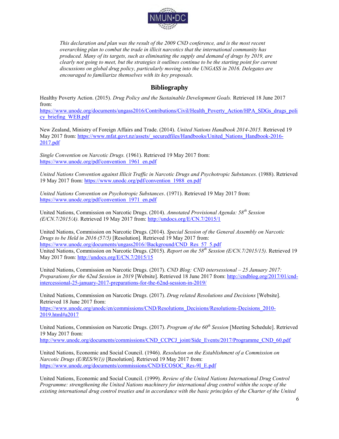

*This declaration and plan was the result of the 2009 CND conference, and is the most recent overarching plan to combat the trade in illicit narcotics that the international community has produced. Many of its targets, such as eliminating the supply and demand of drugs by 2019, are clearly not going to meet, but the strategies it outlines continue to be the starting point for current discussions on global drug policy, particularly moving into the UNGASS in 2016. Delegates are encouraged to familiarize themselves with its key proposals.* 

#### **Bibliography**

Healthy Poverty Action. (2015). *Drug Policy and the Sustainable Development Goals.* Retrieved 18 June 2017 from:

[https://www.unodc.org/documents/ungass2016/Contributions/Civil/Health\\_Poverty\\_Action/HPA\\_SDGs\\_drugs\\_poli](https://www.unodc.org/documents/ungass2016/Contributions/Civil/Health_Poverty_Action/HPA_SDGs_drugs_policy_briefing_WEB.pdf) [cy\\_briefing\\_WEB.pdf](https://www.unodc.org/documents/ungass2016/Contributions/Civil/Health_Poverty_Action/HPA_SDGs_drugs_policy_briefing_WEB.pdf) 

New Zealand, Ministry of Foreign Affairs and Trade. (2014). *United Nations Handbook 2014-2015.* Retrieved 19 May 2017 from: [https://www.mfat.govt.nz/assets/\\_securedfiles/Handbooks/United\\_Nations\\_Handbook-2016-](https://www.mfat.govt.nz/assets/_securedfiles/Handbooks/United_Nations_Handbook-2016-2017.pdf) [2017.pdf](https://www.mfat.govt.nz/assets/_securedfiles/Handbooks/United_Nations_Handbook-2016-2017.pdf) 

*Single Convention on Narcotic Drugs.* (1961). Retrieved 19 May 2017 from: https://www.unodc.org/pdf/convention<sup>1961</sup> en.pdf

*United Nations Convention against Illicit Traffic in Narcotic Drugs and Psychotropic Substances.* (1988). Retrieved 19 May 2017 from: [https://www.unodc.org/pdf/convention\\_1988\\_en.pdf](https://www.unodc.org/pdf/convention_1988_en.pdf) 

*United Nations Convention on Psychotropic Substances*. (1971). Retrieved 19 May 2017 from: [https://www.unodc.org/pdf/convention\\_1971\\_en.pdf](https://www.unodc.org/pdf/convention_1971_en.pdf) 

United Nations, Commission on Narcotic Drugs. (2014). *Annotated Provisional Agenda: 58th Session (E/CN.7/2015/A).* Retrieved 19 May 2017 from:<http://undocs.org/E/CN.7/2015/1>

United Nations, Commission on Narcotic Drugs. (2014). *Special Session of the General Assembly on Narcotic Drugs to be Held in 2016 (57/5)* [Resolution]*.* Retrieved 19 May 2017 from: [https://www.unodc.org/documents/ungass2016//Background/CND\\_Res\\_57\\_5.pdf](https://www.unodc.org/documents/ungass2016/Background/CND_Res_57_5.pdf) United Nations, Commission on Narcotic Drugs. (2015). *Report on the 58th Session (E/CN.7/2015/15).* Retrieved 19 May 2017 from:<http://undocs.org/E/CN.7/2015/15>

United Nations, Commission on Narcotic Drugs. (2017). *CND Blog: CND intersessional – 25 January 2017: Preparations for the 62nd Session in 2019* [Website]. Retrieved 18 June 2017 from: [http://cndblog.org/2017/01/cnd](http://cndblog.org/2017/01/cnd-intercessional-25-january-2017-preparations-for-the-62nd-session-in-2019/)[intercessional-25-january-2017-preparations-for-the-62nd-session-in-2019/](http://cndblog.org/2017/01/cnd-intercessional-25-january-2017-preparations-for-the-62nd-session-in-2019/) 

United Nations, Commission on Narcotic Drugs. (2017). *Drug related Resolutions and Decisions* [Website]. Retrieved 18 June 2017 from:

https://www.unodc.org/unodc/en/commissions/CND/Resolutions Decisions/Resolutions-Decisions 2010-[2019.html#a2017](https://www.unodc.org/unodc/en/commissions/CND/Resolutions_Decisions/Resolutions-Decisions_2010-2019.html#a2017) 

United Nations, Commission on Narcotic Drugs. (2017). *Program of the 60th Session* [Meeting Schedule]. Retrieved 19 May 2017 from:

[http://www.unodc.org/documents/commissions/CND\\_CCPCJ\\_joint/Side\\_Events/2017/Programme\\_CND\\_60.pdf](http://www.unodc.org/documents/commissions/CND_CCPCJ_joint/Side_Events/2017/Programme_CND_60.pdf) 

United Nations, Economic and Social Council. (1946). *Resolution on the Establishment of a Commission on Narcotic Drugs (E/RES/9(1))* [Resolution]*.* Retrieved 19 May 2017 from: [https://www.unodc.org/documents/commissions/CND/ECOSOC\\_Res-9I\\_E.pdf](https://www.unodc.org/documents/commissions/CND/ECOSOC_Res-9I_E.pdf)

United Nations, Economic and Social Council. (1999). *Review of the United Nations International Drug Control Programme: strengthening the United Nations machinery for international drug control within the scope of the existing international drug control treaties and in accordance with the basic principles of the Charter of the United*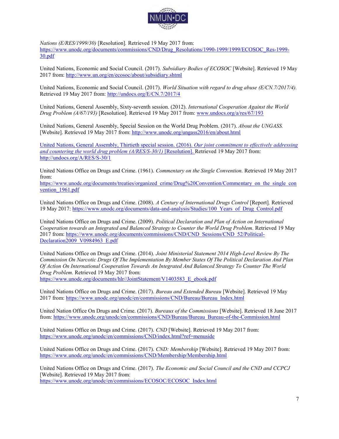

*Nations (E/RES/1999/30)* [Resolution]*.* Retrieved 19 May 2017 from: [https://www.unodc.org/documents/commissions/CND/Drug\\_Resolutions/1990-1999/1999/ECOSOC\\_Res-1999-](https://www.unodc.org/documents/commissions/CND/Drug_Resolutions/1990-1999/1999/ECOSOC_Res-1999-30.pdf) [30.pdf](https://www.unodc.org/documents/commissions/CND/Drug_Resolutions/1990-1999/1999/ECOSOC_Res-1999-30.pdf) 

United Nations, Economic and Social Council. (2017). *Subsidiary Bodies of ECOSOC* [Website]. Retrieved 19 May 2017 from:<http://www.un.org/en/ecosoc/about/subsidiary.shtml>

United Nations, Economic and Social Council. (2017). *World Situation with regard to drug abuse (E/CN.7/2017/4).*  Retrieved 19 May 2017 from:<http://undocs.org/E/CN.7/2017/4>

United Nations, General Assembly, Sixty-seventh session. (2012). *International Cooperation Against the World Drug Problem (A/67/193)* [Resolution]. Retrieved 19 May 2017 from: [www.undocs.org/a/res/67/193](https://www.unodc.org/documents/commissions/CND/Drug_Resolutions/2010-2019/2012/GA_Res-67-193.pdf) 

United Nations, General Assembly, Special Session on the World Drug Problem. (2017). *About the UNGASS.*  [Website]. Retrieved 19 May 2017 from:<http://www.unodc.org/ungass2016/en/about.html>

United Nations, General Assembly, Thirtieth special session. (2016). *Our joint commitment to effectively addressing and countering the world drug problem (A/RES/S-30/1)* [Resolution]. Retrieved 19 May 2017 from: <http://undocs.org/A/RES/S-30/1>

United Nations Office on Drugs and Crime. (1961). *Commentary on the Single Convention.* Retrieved 19 May 2017 from:

[https://www.unodc.org/documents/treaties/organized\\_crime/Drug%20Convention/Commentary\\_on\\_the\\_single\\_con](https://www.unodc.org/documents/treaties/organized_crime/Drug%20Convention/Commentary_on_the_single_convention_1961.pdf) vention 1961.pdf

United Nations Office on Drugs and Crime. (2008). *A Century of International Drugs Control* [Report]*.* Retrieved 19 May 2017: https://www.unodc.org/documents/data-and-analysis/Studies/100\_Years\_of\_Drug\_Control.pdf

United Nations Office on Drugs and Crime. (2009). *Political Declaration and Plan of Action on International Cooperation towards an Integrated and Balanced Strategy to Counter the World Drug Problem.* Retrieved 19 May 2017 from: [https://www.unodc.org/documents/commissions/CND/CND\\_Sessions/CND\\_52/Political-](https://www.unodc.org/documents/commissions/CND/CND_Sessions/CND_52/Political-Declaration2009_V0984963_E.pdf)[Declaration2009\\_V0984963\\_E.pdf](https://www.unodc.org/documents/commissions/CND/CND_Sessions/CND_52/Political-Declaration2009_V0984963_E.pdf)

United Nations Office on Drugs and Crime. (2014). *Joint Ministerial Statement 2014 High-Level Review By The Commission On Narcotic Drugs Of The Implementation By Member States Of The Political Declaration And Plan Of Action On International Cooperation Towards An Integrated And Balanced Strategy To Counter The World Drug Problem.* Retrieved 19 May 2017 from: [https://www.unodc.org/documents/hlr//JointStatement/V1403583\\_E\\_ebook.pdf](https://www.unodc.org/documents/hlr/JointStatement/V1403583_E_ebook.pdf)

United Nations Office on Drugs and Crime. (2017). *Bureau and Extended Bureau* [Website]. Retrieved 19 May 2017 from: [https://www.unodc.org/unodc/en/commissions/CND/Bureau/Bureau\\_Index.html](https://www.unodc.org/unodc/en/commissions/CND/Bureau/Bureau_Index.html) 

United Nation Office On Drugs and Crime. (2017). *Bureaux of the Commissions* [Website]. Retrieved 18 June 2017 from: https://www.unodc.org/unodc/en/commissions/CND/Bureau/Bureau\_Bureau-of-the-Commission.html

United Nations Office on Drugs and Crime. (2017). *CND* [Website]. Retrieved 19 May 2017 from: <https://www.unodc.org/unodc/en/commissions/CND/index.html?ref=menuside>

United Nations Office on Drugs and Crime. (2017). *CND: Membership* [Website]. Retrieved 19 May 2017 from: <https://www.unodc.org/unodc/en/commissions/CND/Membership/Membership.html>

United Nations Office on Drugs and Crime. (2017). *The Economic and Social Council and the CND and CCPCJ*  [Website]. Retrieved 19 May 2017 from:

[https://www.unodc.org/unodc/en/commissions/ECOSOC/ECOSOC\\_Index.html](https://www.unodc.org/unodc/en/commissions/ECOSOC/ECOSOC_Index.html)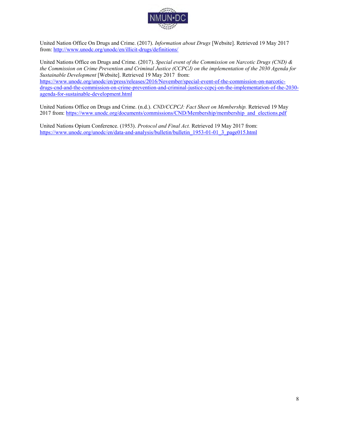

United Nation Office On Drugs and Crime. (2017). *Information about Drugs* [Website]. Retrieved 19 May 2017 from[: http://www.unodc.org/unodc/en/illicit-drugs/definitions/](http://www.unodc.org/unodc/en/illicit-drugs/definitions/)

United Nations Office on Drugs and Crime. (2017). *Special event of the Commission on Narcotic Drugs (CND) & the Commission on Crime Prevention and Criminal Justice (CCPCJ) on the implementation of the 2030 Agenda for Sustainable Development* [Website]. Retrieved 19 May 2017 from: [https://www.unodc.org/unodc/en/press/releases/2016/November/special-event-of-the-commission-on-narcotic](https://www.unodc.org/unodc/en/press/releases/2016/November/special-event-of-the-commission-on-narcotic-drugs-cnd-and-the-commission-on-crime-prevention-and-criminal-justice-ccpcj-on-the-implementation-of-the-2030-agenda-for-sustainable-development.html)[drugs-cnd-and-the-commission-on-crime-prevention-and-criminal-justice-ccpcj-on-the-implementation-of-the-2030](https://www.unodc.org/unodc/en/press/releases/2016/November/special-event-of-the-commission-on-narcotic-drugs-cnd-and-the-commission-on-crime-prevention-and-criminal-justice-ccpcj-on-the-implementation-of-the-2030-agenda-for-sustainable-development.html) [agenda-for-sustainable-development.html](https://www.unodc.org/unodc/en/press/releases/2016/November/special-event-of-the-commission-on-narcotic-drugs-cnd-and-the-commission-on-crime-prevention-and-criminal-justice-ccpcj-on-the-implementation-of-the-2030-agenda-for-sustainable-development.html) 

United Nations Office on Drugs and Crime. (n.d.). *CND/CCPCJ: Fact Sheet on Membership.* Retrieved 19 May 2017 from: https://www.unodc.org/documents/commissions/CND/Membership/membership\_and\_elections.pdf

United Nations Opium Conference. (1953). *Protocol and Final Act.* Retrieved 19 May 2017 from: [https://www.unodc.org/unodc/en/data-and-analysis/bulletin/bulletin\\_1953-01-01\\_3\\_page015.html](https://www.unodc.org/unodc/en/data-and-analysis/bulletin/bulletin_1953-01-01_3_page015.html)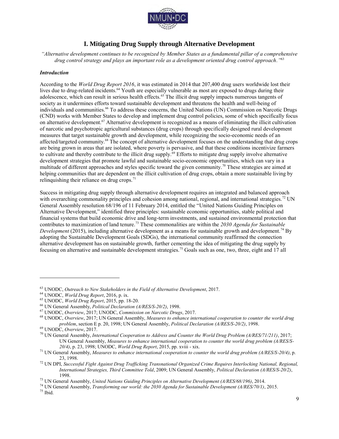

#### **I. Mitigating Drug Supply through Alternative Development**

*"Alternative development continues to be recognized by Member States as a fundamental pillar of a comprehensive drug control strategy and plays an important role as a development oriented drug control approach."*<sup>63</sup>

#### *Introduction*

According to the *World Drug Report 2016*, it was estimated in 2014 that 207,400 drug users worldwide lost their lives due to drug-related incidents.<sup>64</sup> Youth are especially vulnerable as most are exposed to drugs during their adolescence, which can result in serious health effects.<sup>65</sup> The illicit drug supply impacts numerous tangents of society as it undermines efforts toward sustainable development and threatens the health and well-being of individuals and communities.<sup>66</sup> To address these concerns, the United Nations (UN) Commission on Narcotic Drugs (CND) works with Member States to develop and implement drug control policies, some of which specifically focus on alternative development.<sup>67</sup> Alternative development is recognized as a means of eliminating the illicit cultivation of narcotic and psychotropic agricultural substances (drug crops) through specifically designed rural development measures that target sustainable growth and development, while recognizing the socio-economic needs of an affected/targeted community.<sup>68</sup> The concept of alternative development focuses on the understanding that drug crops are being grown in areas that are isolated, where poverty is pervasive, and that these conditions incentivize farmers to cultivate and thereby contribute to the illicit drug supply.<sup>69</sup> Efforts to mitigate drug supply involve alternative development strategies that promote lawful and sustainable socio-economic opportunities, which can vary in a multitude of different approaches and styles specific toward the given community.<sup>70</sup> These strategies are aimed at helping communities that are dependent on the illicit cultivation of drug crops, obtain a more sustainable living by relinquishing their reliance on drug crops. $71$ 

Success in mitigating drug supply through alternative development requires an integrated and balanced approach with overarching commonality principles and cohesion among national, regional, and international strategies.<sup>72</sup> UN General Assembly resolution 68/196 of 11 February 2014, entitled the "United Nations Guiding Principles on Alternative Development," identified three principles: sustainable economic opportunities, stable political and financial systems that build economic drive and long-term investments, and sustained environmental protection that contributes to maximization of land tenure.<sup>73</sup> These commonalities are within the *2030 Agenda for Sustainable Development* (2015), including alternative development as a means for sustainable growth and development.<sup>74</sup> By adopting the Sustainable Development Goals (SDGs), the international community reaffirmed the connection alternative development has on sustainable growth, further cementing the idea of mitigating the drug supply by focusing on alternative and sustainable development strategies.<sup>75</sup> Goals such as one, two, three, eight and 17 all

<sup>63</sup> UNODC, *Outreach to New Stakeholders in the Field of Alternative Development*, 2017.

<sup>64</sup> UNODC, *World Drug Report*, 2016, p. ix.

<sup>65</sup> UNODC, *World Drug Report*, 2015, pp. 18-20.

<sup>66</sup> UN General Assembly, *Political Declaration (A/RES/S-20/2)*, 1998.

<sup>67</sup> UNODC, *Overview*, 2017; UNODC, *Commission on Narcotic Drugs*, 2017.

<sup>68</sup> UNODC, *Overview*, 2017; UN General Assembly, *Measures to enhance international cooperation to counter the world drug problem*, section E p. 20, 1998; UN General Assembly, *Political Declaration (A/RES/S-20/2)*, 1998.

<sup>69</sup> UNODC, *Overview*, 2017.

<sup>70</sup> UN General Assembly, *International Cooperation to Address and Counter the World Drug Problem (A/RES/71/211)*, 2017; UN General Assembly, *Measures to enhance international cooperation to counter the world drug problem (A/RES/S-20/4)*, p. 23, 1998; UNODC, *World Drug Report*, 2015, pp. xviii - xix.

<sup>71</sup> UN General Assembly, *Measures to enhance international cooperation to counter the world drug problem (A/RES/S-20/4)*, p. 23, 1998.

<sup>72</sup> UN DPI, *Successful Fight Against Drug Trafficking Transnational Organized Crime Requires Interlocking National, Regional, International Strategies, Third Committee Told*, 2009; UN General Assembly, *Political Declaration (A/RES/S-20/2)*, 1998.

<sup>73</sup> UN General Assembly, *United Nations Guiding Principles on Alternative Development (A/RES/68/196)*, 2014.

<sup>74</sup> UN General Assembly, *Transforming our world: the 2030 Agenda for Sustainable Development (A/RES/70/1)*, 2015. <sup>75</sup> Ibid.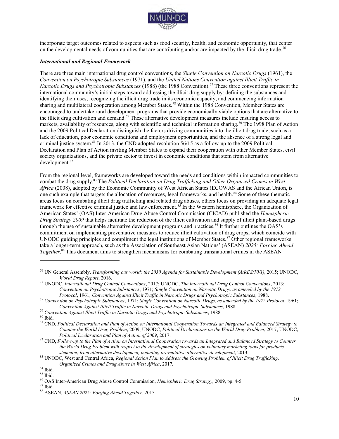

incorporate target outcomes related to aspects such as food security, health, and economic opportunity, that center on the developmental needs of communities that are contributing and/or are impacted by the illicit drug trade.<sup>76</sup>

#### *International and Regional Framework*

There are three main international drug control conventions, the *Single Convention on Narcotic Drugs* (1961), the *Convention on Psychotropic Substances* (1971), and the *United Nations Convention against Illicit Traffic in Narcotic Drugs and Psychotropic Substances* (1988) (the 1988 Convention).<sup>77</sup> These three conventions represent the international community's initial steps toward addressing the illicit drug supply by: defining the substances and identifying their uses, recognizing the illicit drug trade in its economic capacity, and commencing information sharing and multilateral cooperation among Member States.<sup>78</sup> Within the 1988 Convention, Member States are encouraged to undertake rural development programs that provide economically viable options that are alternative to the illicit drug cultivation and demand.<sup>79</sup> These alternative development measures include ensuring access to markets, availability of resources, along with scientific and technical information sharing.<sup>80</sup> The 1998 Plan of Action and the 2009 Political Declaration distinguish the factors driving communities into the illicit drug trade, such as a lack of education, poor economic conditions and employment opportunities, and the absence of a strong legal and criminal justice system.<sup>81</sup> In 2013, the CND adopted resolution 56/15 as a follow-up to the 2009 Political Declaration and Plan of Action inviting Member States to expand their cooperation with other Member States, civil society organizations, and the private sector to invest in economic conditions that stem from alternative development.<sup>82</sup>

From the regional level, frameworks are developed toward the needs and conditions within impacted communities to combat the drug supply.<sup>83</sup> The *Political Declaration on Drug Trafficking and Other Organized Crimes in West Africa* (2008), adopted by the Economic Community of West African States (ECOWAS and the African Union, is one such example that targets the allocation of resources, legal frameworks, and health.<sup>84</sup> Some of these thematic areas focus on combating illicit drug trafficking and related drug abuses, others focus on providing an adequate legal framework for effective criminal justice and law enforcement.<sup>85</sup> In the Western hemisphere, the Organization of American States' (OAS) Inter-American Drug Abuse Control Commission (CICAD) published the *Hemispheric Drug Strategy 2009* that helps facilitate the reduction of the illicit cultivation and supply of illicit plant-based drugs through the use of sustainable alternative development programs and practices.<sup>86</sup> It further outlines the OAS's commitment on implementing preventative measures to reduce illicit cultivation of drug crops, which coincide with UNODC guiding principles and compliment the legal institutions of Member States.<sup>87</sup> Other regional frameworks take a longer-term approach, such as the Association of Southeast Asian Nations' (ASEAN) *2025: Forging Ahead Together*. <sup>88</sup> This document aims to strengthen mechanisms for combating transnational crimes in the ASEAN

<sup>79</sup> *Convention Against Illicit Traffic in Narcotic Drugs and Psychotropic Substances*, 1988.

<sup>76</sup> UN General Assembly, *Transforming our world: the 2030 Agenda for Sustainable Development (A/RES/70/1)*, 2015; UNODC, *World Drug Report*, 2016.

<sup>77</sup> UNODC, *International Drug Control Conventions*, 2017; UNODC, *The International Drug Control Conventions*, 2013; *Convention on Psychotropic Substances*, 1971; *Single Convention on Narcotic Drugs, as amended by the 1972 Protocol*, 1961; *Convention Against Illicit Traffic in Narcotic Drugs and Psychotropic Substances*, 1988.

<sup>78</sup> *Convention on Psychotropic Substances*, 1971; *Single Convention on Narcotic Drugs, as amended by the 1972 Protocol*, 1961; *Convention Against Illicit Traffic in Narcotic Drugs and Psychotropic Substances*, 1988.

 $80$  Ibid.

<sup>81</sup> CND, *Political Declaration and Plan of Action on International Cooperation Towards an Integrated and Balanced Strategy to Counter the World Drug Problem*, 2009; UNODC, *Political Declarations on the World Drug Problem*, 2017; UNODC, *Political Declaration and Plan of Action of 2009*, 2017.

<sup>82</sup> CND, *Follow-up to the Plan of Action on International Cooperation towards an Integrated and Balanced Strategy to Counter the World Drug Problem with respect to the development of strategies on voluntary marketing tools for products stemming from alternative development, including preventative alternative development*, 2013.

<sup>83</sup> UNODC, West and Central Africa, *Regional Action Plan to Address the Growing Problem of Illicit Drug Trafficking, Organized Crimes and Drug Abuse in West Africa*, 2017*.*

<sup>84</sup> Ibid.

 $^{85}$  Ibid.

<sup>86</sup> OAS Inter-American Drug Abuse Control Commission, *Hemispheric Drug Strategy*, 2009, pp. 4-5.

<sup>87</sup> Ibid.

<sup>88</sup> ASEAN, *ASEAN 2025: Forging Ahead Together*, 2015.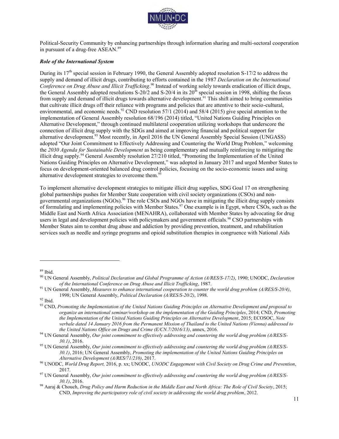

Political-Security Community by enhancing partnerships through information sharing and multi-sectoral cooperation in pursuant of a drug-free ASEAN.<sup>89</sup>

#### *Role of the International System*

During its  $17<sup>th</sup>$  special session in February 1990, the General Assembly adopted resolution S-17/2 to address the supply and demand of illicit drugs, contributing to efforts contained in the 1987 *Declaration on the International*  Conference on Drug Abuse and Illicit Trafficking.<sup>90</sup> Instead of working solely towards eradication of illicit drugs, the General Assembly adopted resolutions  $S-20/2$  and  $S-20/4$  in its  $20<sup>th</sup>$  special session in 1998, shifting the focus from supply and demand of illicit drugs towards alternative development.<sup>91</sup> This shift aimed to bring communities that cultivate illicit drugs off their reliance with programs and policies that are attentive to their socio-cultural, environmental, and economic needs.<sup>92</sup> CND resolution 57/1 (2014) and 58/4 (2015) give special attention to the implementation of General Assembly resolution 68/196 (2014) titled, "United Nations Guiding Principles on Alternative Development," through continued multilateral cooperation utilizing workshops that underscore the connection of illicit drug supply with the SDGs and aimed at improving financial and political support for alternative development.<sup>93</sup> Most recently, in April 2016 the UN General Assembly Special Session (UNGASS) adopted "Our Joint Commitment to Effectively Addressing and Countering the World Drug Problem," welcoming the *2030 Agenda for Sustainable Development* as being complementary and mutually reinforcing to mitigating the illicit drug supply.<sup>94</sup> General Assembly resolution 27/210 titled, "Promoting the Implementation of the United Nations Guiding Principles on Alternative Development," was adopted in January 2017 and urged Member States to focus on development-oriented balanced drug control policies, focusing on the socio-economic issues and using alternative development strategies to overcome them.<sup>9</sup>

To implement alternative development strategies to mitigate illicit drug supplies, SDG Goal 17 on strengthening global partnerships pushes for Member State cooperation with civil society organizations (CSOs) and nongovernmental organizations (NGOs).<sup>96</sup> The role CSOs and NGOs have in mitigating the illicit drug supply consists of formulating and implementing policies with Member States.<sup>97</sup> One example is in Egypt, where CSOs, such as the Middle East and North Africa Association (MENAHRA), collaborated with Member States by advocating for drug users in legal and development policies with policymakers and government officials.<sup>98</sup> CSO partnerships with Member States aim to combat drug abuse and addiction by providing prevention, treatment, and rehabilitation services such as needle and syringe programs and opioid substitution therapies in congruence with National Aids

- <sup>91</sup> UN General Assembly, *Measures to enhance international cooperation to counter the world drug problem (A/RES/S-20/4)*, 1998; UN General Assembly, *Political Declaration (A/RES/S-20/2)*, 1998.
- $^{92}$  Ibid.

<sup>89</sup> Ibid.

<sup>90</sup> UN General Assembly, *Political Declaration and Global Programme of Action (A/RES/S-17/2)*, 1990; UNODC, *Declaration of the International Conference on Drug Abuse and Illicit Trafficking*, 1987.

<sup>93</sup> CND, *Promoting the Implementation of the United Nations Guiding Principles on Alternative Development and proposal to organize an international seminar/workshop on the implementation of the Guiding Principles*, 2014; CND, *Promoting the Implementation of the United Nations Guiding Principles on Alternative Development*, 2015; ECOSOC, *Note verbale dated 14 January 2016 from the Permanent Mission of Thailand to the United Nations (Vienna) addressed to the United Nations Office on Drugs and Crime (E/CN.7/2016/13)*, annex, 2016.

<sup>94</sup> UN General Assembly, *Our joint commitment to effectively addressing and countering the world drug problem (A/RES/S-30.1)*, 2016.

<sup>95</sup> UN General Assembly, *Our joint commitment to effectively addressing and countering the world drug problem (A/RES/S-30.1)*, 2016; UN General Assembly, *Promoting the implementation of the United Nations Guiding Principles on Alternative Development (A/RES/71/210)*, 2017.

<sup>96</sup> UNODC, *World Drug Report,* 2016, p. xx; UNODC, *UNODC Engagement with Civil Society on Drug Crime and Prevention*, 2017.

<sup>97</sup> UN General Assembly, *Our joint commitment to effectively addressing and countering the world drug problem (A/RES/S-30.1)*, 2016.

<sup>98</sup> Aaraj & Chouch, *Drug Policy and Harm Reduction in the Middle East and North Africa: The Role of Civil Society*, 2015; CND, *Improving the participatory role of civil society in addressing the world drug problem*, 2012.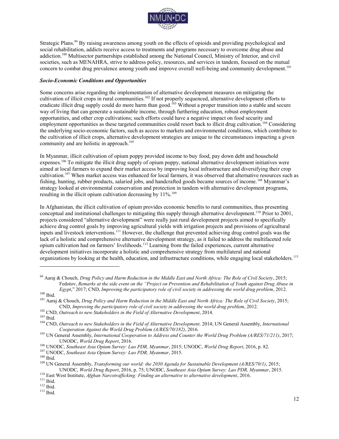

Strategic Plans.<sup>99</sup> By raising awareness among youth on the effects of opioids and providing psychological and social rehabilitation, addicts receive access to treatments and programs necessary to overcome drug abuse and addiction.<sup>100</sup> Multisector partnerships established among the National Council, Ministry of Interior, and civil societies, such as MENAHRA, strive to address policy, resources, and services in tandem, focused on the mutual concern to combat drug prevalence among youth and improve overall well-being and community development.<sup>101</sup>

#### *Socio-Economic Conditions and Opportunities*

Some concerns arise regarding the implementation of alternative development measures on mitigating the cultivation of illicit crops in rural communities.<sup>102</sup> If not properly sequenced, alternative development efforts to eradicate illicit drug supply could do more harm than good.<sup>103</sup> Without a proper transition into a stable and secure way of living that can generate a sustainable income, through furthering education, robust employment opportunities, and other crop cultivations; such efforts could have a negative impact on food security and employment opportunities as these targeted communities could resort back to illicit drug cultivation.<sup>104</sup> Considering the underlying socio-economic factors, such as access to markets and environmental conditions, which contribute to the cultivation of illicit crops, alternative development strategies are unique to the circumstances impacting a given community and are holistic in approach.<sup>105</sup>

In Myanmar, illicit cultivation of opium poppy provided income to buy food, pay down debt and household expenses.<sup>106</sup> To mitigate the illicit drug supply of opium poppy, national alternative development initiatives were aimed at local farmers to expand their market access by improving local infrastructure and diversifying their crop cultivation.<sup>107</sup> When market access was enhanced for local farmers, it was observed that alternative resources such as fishing, hunting, rubber products, salaried jobs, and handcrafted goods became sources of income.<sup>108</sup> Myanmar's strategy looked at environmental conservation and protection in tandem with alternative development programs, resulting in the illicit opium cultivation decreasing by 11%.<sup>109</sup>

In Afghanistan, the illicit cultivation of opium provides economic benefits to rural communities, thus presenting conceptual and institutional challenges to mitigating this supply through alternative development.<sup>110</sup> Prior to 2001, projects considered "alternative development" were really just rural development projects aimed to specifically achieve drug control goals by improving agricultural yields with irrigation projects and provisions of agricultural inputs and livestock interventions.<sup>111</sup> However, the challenge that prevented achieving drug control goals was the lack of a holistic and comprehensive alternative development strategy, as it failed to address the multifaceted role opium cultivation had on farmers' livelihoods.<sup>112</sup> Learning from the failed experiences, current alternative development initiatives incorporate a holistic and comprehensive strategy from multilateral and national organizations by looking at the health, education, and infrastructure conditions, while engaging local stakeholders.<sup>113</sup>

<sup>99</sup> Aaraj & Chouch, *Drug Policy and Harm Reduction in the Middle East and North Africa: The Role of Civil Society*, 2015; Fedotov, *Remarks at the side event on the "Project on Prevention and Rehabilitation of Youth against Drug Abuse in Egypt*," 2017; CND, *Improving the participatory role of civil society in addressing the world drug problem*, 2012.

 $100$  Ibid.

<sup>101</sup> Aaraj & Chouch, *Drug Policy and Harm Reduction in the Middle East and North Africa: The Role of Civil Society*, 2015; CND, *Improving the participatory role of civil society in addressing the world drug problem*, 2012.

<sup>102</sup> CND, *Outreach to new Stakeholders in the Field of Alternative Development*, 2014.

 $103$  Ibid.

<sup>104</sup> CND, *Outreach to new Stakeholders in the Field of Alternative Development,* 2014; UN General Assembly, *International Cooperation Against the World Drug Problem (A/RES/70/182)*, 2016*.*

<sup>105</sup> UN General Assembly, *International Cooperation to Address and Counter the World Drug Problem (A/RES/71/211)*, 2017; UNODC, *World Drug Report*, 2016.

<sup>106</sup> UNODC, *Southeast Asia Opium Survey: Lao PDR, Myanmar*, 2015; UNODC, *World Drug Report*, 2016, p. 82.

<sup>107</sup> UNODC, *Southeast Asia Opium Survey: Lao PDR, Myanmar*, 2015.

 $^{108}$  Ibid.

<sup>109</sup> UN General Assembly, *Transforming our world: the 2030 Agenda for Sustainable Development (A/RES/70/1)*, 2015; UNODC, *World Drug Report*, 2016, p. 75; UNODC, *Southeast Asia Opium Survey: Lao PDR, Myanmar*, 2015.

<sup>110</sup> East West Institute, *Afghan Narcotrafficking: Finding an alternative to alternative development*, 2016.

<sup>111</sup> Ibid.

 $112$  Ibid.

<sup>113</sup> Ibid.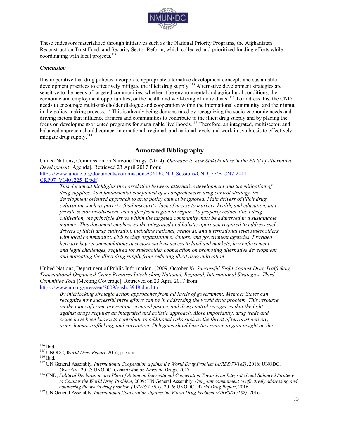

These endeavors materialized through initiatives such as the National Priority Programs, the Afghanistan Reconstruction Trust Fund, and Security Sector Reform, which collected and prioritized funding efforts while coordinating with local projects.<sup>114</sup>

#### *Conclusion*

It is imperative that drug policies incorporate appropriate alternative development concepts and sustainable development practices to effectively mitigate the illicit drug supply.<sup>115</sup> Alternative development strategies are sensitive to the needs of targeted communities, whether it be environmental and agricultural conditions, the economic and employment opportunities, or the health and well-being of individuals. <sup>116</sup> To address this, the CND needs to encourage multi-stakeholder dialogue and cooperation within the international community, and their input in the policy-making process.<sup>117</sup> This is already being demonstrated by recognizing the socio-economic needs and driving factors that influence farmers and communities to contribute to the illicit drug supply and by placing the focus on development-oriented programs for sustainable livelihoods.<sup>118</sup> Therefore, an integrated, multisector, and balanced approach should connect international, regional, and national levels and work in symbiosis to effectively mitigate drug supply.<sup>119</sup>

#### **Annotated Bibliography**

United Nations, Commission on Narcotic Drugs. (2014). *Outreach to new Stakeholders in the Field of Alternative Development* [Agenda]*.* Retrieved 23 April 2017 from:

[https://www.unodc.org/documents/commissions/CND/CND\\_Sessions/CND\\_57/E-CN7-2014-](https://www.unodc.org/documents/commissions/CND/CND_Sessions/CND_57/E-CN7-2014-CRP07_V1401225_E.pdf) [CRP07\\_V1401225\\_E.pdf](https://www.unodc.org/documents/commissions/CND/CND_Sessions/CND_57/E-CN7-2014-CRP07_V1401225_E.pdf)

*This document highlights the correlation between alternative development and the mitigation of drug supplies. As a fundamental component of a comprehensive drug control strategy, the development oriented approach to drug policy cannot be ignored. Main drivers of illicit drug cultivation, such as poverty, food insecurity, lack of access to markets, health, and education, and private sector involvement, can differ from region to region. To properly reduce illicit drug cultivation, the principle drives within the targeted community must be addressed in a sustainable manner. This document emphasizes the integrated and holistic approach required to address such drivers of illicit drug cultivation, including national, regional, and international level stakeholders with local communities, civil society organizations, donors, and government agencies. Provided here are key recommendations in sectors such as access to land and markets, law enforcement and legal challenges, required for stakeholder cooperation on promoting alternative development and mitigating the illicit drug supply from reducing illicit drug cultivation.* 

United Nations, Department of Public Information. (2009, October 8). *Successful Fight Against Drug Trafficking Transnational Organized Crime Requires Interlocking National, Regional, International Strategies, Third Committee Told* [Meeting Coverage]. Retrieved on 23 April 2017 from: <https://www.un.org/press/en/2009/gashc3948.doc.htm>

*By interlocking strategic action approaches from all levels of government, Member States can recognize how successful these efforts can be in addressing the world drug problem. This resource on the topic of crime prevention, criminal justice, and drug control recognizes that the fight against drugs requires an integrated and holistic approach. More importantly, drug trade and crime have been known to contribute to additional risks such as the threat of terrorist activity, arms, human trafficking, and corruption. Delegates should use this source to gain insight on the* 

 $114$  Ibid.

<sup>115</sup> UNODC, *World Drug Report*, 2016, p. xxiii.

<sup>116</sup> Ibid.

<sup>117</sup> UN General Assembly, *International Cooperation against the World Drug Problem (A/RES/70/182)*, 2016; UNODC, *Overview*, 2017; UNODC, *Commission on Narcotic Drugs*, 2017.

<sup>118</sup> CND, *Political Declaration and Plan of Action on International Cooperation Towards an Integrated and Balanced Strategy to Counter the World Drug Problem*, 2009; UN General Assembly, *Our joint commitment to effectively addressing and countering the world drug problem (A/RES/S-30.1)*, 2016; UNODC, *World Drug Report*, 2016.

<sup>119</sup> UN General Assembly, *International Cooperation Against the World Drug Problem (A/RES/70/182)*, 2016*.*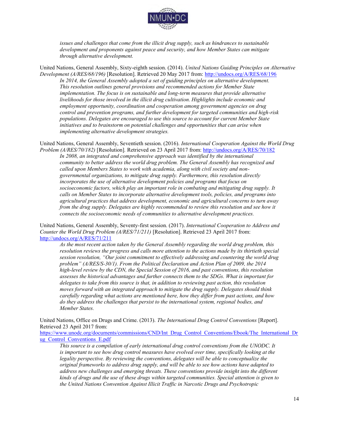

*issues and challenges that come from the illicit drug supply, such as hindrances to sustainable development and proponents against peace and security, and how Member States can mitigate through alternative development.* 

United Nations, General Assembly, Sixty-eighth session. (2014). *United Nations Guiding Principles on Alternative Development (A/RES/68/196)* [Resolution]. Retrieved 20 May 2017 from:<http://undocs.org/A/RES/68/196> In 2014, the General Assembly adopted a set of guiding principles on alternative development. *This resolution outlines general provisions and recommended actions for Member State implementation. The focus is on sustainable and long-term measures that provide alternative livelihoods for those involved in the illicit drug cultivation. Highlights include economic and employment opportunity, coordination and cooperation among government agencies on drug control and prevention programs, and further development for targeted communities and high-risk populations. Delegates are encouraged to use this source to account for current Member State initiatives and to brainstorm on potential challenges and opportunities that can arise when implementing alternative development strategies.* 

United Nations, General Assembly, Seventieth session. (2016). *International Cooperation Against the World Drug Problem (A/RES/70/182)* [Resolution]*.* Retrieved on 23 April 2017 from:<http://undocs.org/A/RES/70/182>

In 2008, an integrated and comprehensive approach was identified by the international *community to better address the world drug problem. The General Assembly has recognized and called upon Members States to work with academia, along with civil society and nongovernmental organizations, to mitigate drug supply. Furthermore, this resolution directly incorporates the use of alternative development policies and programs that focus on socioeconomic factors, which play an important role in combating and mitigating drug supply. It calls on Member States to incorporate alternative development tools, policies, and programs into agricultural practices that address development, economic and agricultural concerns to turn away from the drug supply. Delegates are highly recommended to review this resolution and see how it connects the socioeconomic needs of communities to alternative development practices.* 

United Nations, General Assembly, Seventy-first session. (2017). *International Cooperation to Address and Counter the World Drug Problem (A/RES/71/211)* [Resolution]. Retrieved 23 April 2017 from: <http://undocs.org/A/RES/71/211>

*As the most recent action taken by the General Assembly regarding the world drug problem, this resolution reviews the progress and calls more attention to the actions made by its thirtieth special session resolution, "Our joint commitment to effectively addressing and countering the world drug problem" (A/RES/S-30/1). From the Political Declaration and Action Plan of 2009, the 2014 high-level review by the CDN, the Special Session of 2016, and past conventions, this resolution assesses the historical advantages and further connects them to the SDGs. What is important for delegates to take from this source is that, in addition to reviewing past action, this resolution moves forward with an integrated approach to mitigate the drug supply. Delegates should think carefully regarding what actions are mentioned here, how they differ from past actions, and how do they address the challenges that persist to the international system, regional bodies, and Member States.* 

United Nations, Office on Drugs and Crime. (2013). *The International Drug Control Conventions* [Report]. Retrieved 23 April 2017 from:

[https://www.unodc.org/documents/commissions/CND/Int\\_Drug\\_Control\\_Conventions/Ebook/The\\_International\\_Dr](https://www.unodc.org/documents/commissions/CND/Int_Drug_Control_Conventions/Ebook/The_International_Drug_Control_Conventions_E.pdf) [ug\\_Control\\_Conventions\\_E.pdf](https://www.unodc.org/documents/commissions/CND/Int_Drug_Control_Conventions/Ebook/The_International_Drug_Control_Conventions_E.pdf) 

*This source is a compilation of early international drug control conventions from the UNODC. It*  is important to see how drug control measures have evolved over time, specifically looking at the *legality perspective. By reviewing the conventions, delegates will be able to conceptualize the original frameworks to address drug supply, and will be able to see how actions have adapted to address new challenges and emerging threats. These conventions provide insight into the different kinds of drugs and the use of these drugs within targeted communities. Special attention is given to the United Nations Convention Against Illicit Traffic in Narcotic Drugs and Psychotropic*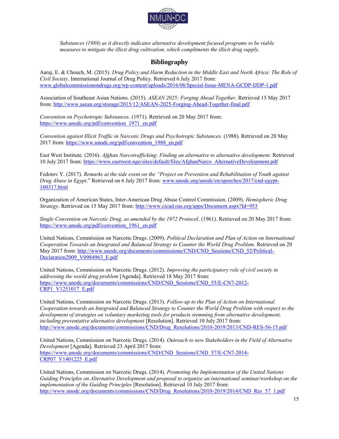

*Substances (1988) as it directly indicates alternative development focused programs to be viable measures to mitigate the illicit drug cultivation, which compliments the illicit drug supply.* 

#### **Bibliography**

Aaraj, E. & Chouch, M. (2015). *Drug Policy and Harm Reduction in the Middle East and North Africa: The Role of Civil Society*. International Journal of Drug Policy. Retrieved 6 July 2017 from: [www.globalcommissionondrugs.org/wp-content/uploads/2016/06/Special-Issue-MENA-GCDP-IJDP-1.pdf](http://www.globalcommissionondrugs.org/wp-content/uploads/2016/06/Special-Issue-MENA-GCDP-IJDP-1.pdf)

Association of Southeast Asian Nations. (2015). *ASEAN 2025: Forging Ahead Together*. Retrieved 15 May 2017 from[: http://www.asean.org/storage/2015/12/ASEAN-2025-Forging-Ahead-Together-final.pdf](http://www.asean.org/storage/2015/12/ASEAN-2025-Forging-Ahead-Together-final.pdf)

*Convention on Psychotropic Substances.* (1971). Retrieved on 20 May 2017 from: [https://www.unodc.org/pdf/convention\\_1971\\_en.pdf](https://www.unodc.org/pdf/convention_1971_en.pdf)

*Convention against Illicit Traffic in Narcotic Drugs and Psychotropic Substances.* (1988). Retrieved on 20 May 2017 from: [https://www.unodc.org/pdf/convention\\_1988\\_en.pdf](https://www.unodc.org/pdf/convention_1988_en.pdf)

East West Institute. (2016). *Afghan Narcotrafficking: Finding an alternative to alternative development*. Retrieved 10 July 2017 from: [https://www.eastwest.ngo/sites/default/files/AfghanNarco\\_AlternativeDevelopment.pdf](https://www.eastwest.ngo/sites/default/files/AfghanNarco_AlternativeDevelopment.pdf)

Fedotov Y. (2017). *Remarks at the side event on the "Project on Prevention and Rehabilitation of Youth against Drug Abuse in Egypt*." Retrieved on 6 July 2017 from: [www.unodc.org/unodc/en/speeches/2017/cnd-egypt-](http://www.unodc.org/unodc/en/speeches/2017/cnd-egypt-160317.html)[160317.html](http://www.unodc.org/unodc/en/speeches/2017/cnd-egypt-160317.html)

Organization of American States, Inter-American Drug Abuse Control Commission. (2009). *Hemispheric Drug Strategy*. Retrieved on 15 May 2017 from:<http://www.cicad.oas.org/apps/Document.aspx?Id=953>

*Single Convention on Narcotic Drug, as amended by the 1972 Protocol*. (1961). Retrieved on 20 May 2017 from: [https://www.unodc.org/pdf/convention\\_1961\\_en.pdf](https://www.unodc.org/pdf/convention_1961_en.pdf)

United Nations, Commission on Narcotic Drugs. (2009). *Political Declaration and Plan of Action on International Cooperation Towards an Integrated and Balanced Strategy to Counter the World Drug Problem.* Retrieved on 20 May 2017 from: [http://www.unodc.org/documents/commissions/CND/CND\\_Sessions/CND\\_52/Political-](http://www.unodc.org/documents/commissions/CND/CND_Sessions/CND_52/Political-Declaration2009_V0984963_E.pdf)[Declaration2009\\_V0984963\\_E.pdf](http://www.unodc.org/documents/commissions/CND/CND_Sessions/CND_52/Political-Declaration2009_V0984963_E.pdf)

United Nations, Commission on Narcotic Drugs. (2012). *Improving the participatory role of civil society in addressing the world drug problem* [Agenda]. Retrieved 18 May 2017 from: [https://www.unodc.org/documents/commissions/CND/CND\\_Sessions/CND\\_55/E-CN7-2012-](https://www.unodc.org/documents/commissions/CND/CND_Sessions/CND_55/E-CN7-2012-CRP1_V1251017_E.pdf) [CRP1\\_V1251017\\_E.pdf](https://www.unodc.org/documents/commissions/CND/CND_Sessions/CND_55/E-CN7-2012-CRP1_V1251017_E.pdf)

United Nations, Commission on Narcotic Drugs. (2013). *Follow-up to the Plan of Action on International Cooperation towards an Integrated and Balanced Strategy to Counter the World Drug Problem with respect to the development of strategies on voluntary marketing tools for products stemming from alternative development, including preventative alternative development* [Resolution]. Retrieved 10 July 2017 from: [http://www.unodc.org/documents/commissions/CND/Drug\\_Resolutions/2010-2019/2013/CND-RES-56-15.pdf](http://www.unodc.org/documents/commissions/CND/Drug_Resolutions/2010-2019/2013/CND-RES-56-15.pdf)

United Nations, Commission on Narcotic Drugs. (2014). *Outreach to new Stakeholders in the Field of Alternative Development* [Agenda]*.* Retrieved 23 April 2017 from: [https://www.unodc.org/documents/commissions/CND/CND\\_Sessions/CND\\_57/E-CN7-2014-](https://www.unodc.org/documents/commissions/CND/CND_Sessions/CND_57/E-CN7-2014-CRP07_V1401225_E.pdf) [CRP07\\_V1401225\\_E.pdf](https://www.unodc.org/documents/commissions/CND/CND_Sessions/CND_57/E-CN7-2014-CRP07_V1401225_E.pdf)

United Nations, Commission on Narcotic Drugs. (2014). *Promoting the Implementation of the United Nations Guiding Principles on Alternative Development and proposal to organize an international seminar/workshop on the implementation of the Guiding Principles* [Resolution]. Retrieved 10 July 2017 from: [http://www.unodc.org/documents/commissions/CND/Drug\\_Resolutions/2010-2019/2014/CND\\_Res\\_57\\_1.pdf](http://www.unodc.org/documents/commissions/CND/Drug_Resolutions/2010-2019/2014/CND_Res_57_1.pdf)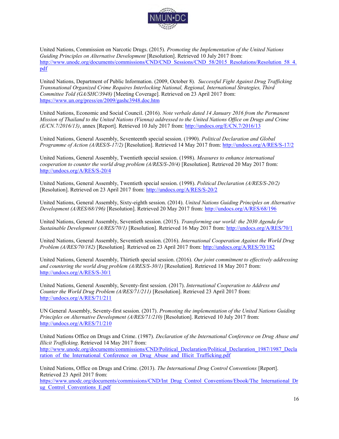

United Nations, Commission on Narcotic Drugs. (2015). *Promoting the Implementation of the United Nations Guiding Principles on Alternative Development* [Resolution]. Retrieved 10 July 2017 from: [http://www.unodc.org/documents/commissions/CND/CND\\_Sessions/CND\\_58/2015\\_Resolutions/Resolution\\_58\\_4.](http://www.unodc.org/documents/commissions/CND/CND_Sessions/CND_58/2015_Resolutions/Resolution_58_4.pdf) [pdf](http://www.unodc.org/documents/commissions/CND/CND_Sessions/CND_58/2015_Resolutions/Resolution_58_4.pdf)

United Nations, Department of Public Information. (2009, October 8). *Successful Fight Against Drug Trafficking Transnational Organized Crime Requires Interlocking National, Regional, International Strategies, Third Committee Told (GA/SHC/3948)* [Meeting Coverage]. Retrieved on 23 April 2017 from: <https://www.un.org/press/en/2009/gashc3948.doc.htm>

United Nations, Economic and Social Council. (2016). *Note verbale dated 14 January 2016 from the Permanent Mission of Thailand to the United Nations (Vienna) addressed to the United Nations Office on Drugs and Crime (E/CN.7/2016/13)*, annex [Report]. Retrieved 10 July 2017 from:<http://undocs.org/E/CN.7/2016/13>

United Nations, General Assembly, Seventeenth special session. (1990). *Political Declaration and Global Programme of Action (A/RES/S-17/2)* [Resolution]. Retrieved 14 May 2017 from:<http://undocs.org/A/RES/S-17/2>

United Nations, General Assembly, Twentieth special session. (1998). *Measures to enhance international cooperation to counter the world drug problem (A/RES/S-20/4)* [Resolution]. Retrieved 20 May 2017 from: <http://undocs.org/A/RES/S-20/4>

United Nations, General Assembly, Twentieth special session. (1998). *Political Declaration (A/RES/S-20/2)* [Resolution]. Retrieved on 23 April 2017 from:<http://undocs.org/A/RES/S-20/2>

United Nations, General Assembly, Sixty-eighth session. (2014). *United Nations Guiding Principles on Alternative Development (A/RES/68/196)* [Resolution]. Retrieved 20 May 2017 from:<http://undocs.org/A/RES/68/196>

United Nations, General Assembly, Seventieth session. (2015). *Transforming our world: the 2030 Agenda for Sustainable Development (A/RES/70/1)* [Resolution]. Retrieved 16 May 2017 from:<http://undocs.org/A/RES/70/1>

United Nations, General Assembly, Seventieth session. (2016). *International Cooperation Against the World Drug Problem (A/RES/70/182)* [Resolution]*.* Retrieved on 23 April 2017 from:<http://undocs.org/A/RES/70/182>

United Nations, General Assembly, Thirtieth special session. (2016). *Our joint commitment to effectively addressing and countering the world drug problem (A/RES/S-30/1)* [Resolution]. Retrieved 18 May 2017 from: <http://undocs.org/A/RES/S-30/1>

United Nations, General Assembly, Seventy-first session. (2017). *International Cooperation to Address and Counter the World Drug Problem (A/RES/71/211)* [Resolution]. Retrieved 23 April 2017 from: <http://undocs.org/A/RES/71/211>

UN General Assembly, Seventy-first session. (2017). *Promoting the implementation of the United Nations Guiding Principles on Alternative Development (A/RES/71/210)* [Resolution]. Retrieved 10 July 2017 from: <http://undocs.org/A/RES/71/210>

United Nations Office on Drugs and Crime. (1987). *Declaration of the International Conference on Drug Abuse and Illicit Trafficking*. Retrieved 14 May 2017 from: [http://www.unodc.org/documents/commissions/CND/Political\\_Declaration/Political\\_Declaration\\_1987/1987\\_Decla](http://www.unodc.org/documents/commissions/CND/Political_Declaration/Political_Declaration_1987/1987_Declaration_of_the_International_Conference_on_Drug_Abuse_and_Illicit_Trafficking.pdf) ration of the International Conference on Drug Abuse and Illicit Trafficking.pdf

United Nations, Office on Drugs and Crime. (2013). *The International Drug Control Conventions* [Report]. Retrieved 23 April 2017 from:

[https://www.unodc.org/documents/commissions/CND/Int\\_Drug\\_Control\\_Conventions/Ebook/The\\_International\\_Dr](https://www.unodc.org/documents/commissions/CND/Int_Drug_Control_Conventions/Ebook/The_International_Drug_Control_Conventions_E.pdf) ug Control Conventions E.pdf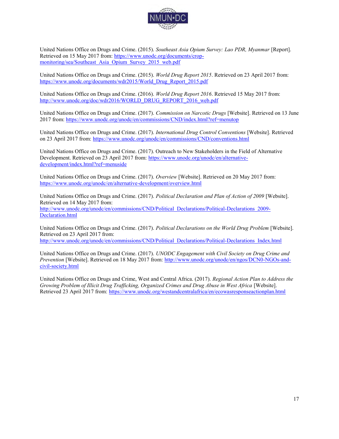

United Nations Office on Drugs and Crime. (2015). *Southeast Asia Opium Survey: Lao PDR, Myanmar* [Report]. Retrieved on 15 May 2017 from: [https://www.unodc.org/documents/crop](https://www.unodc.org/documents/crop-monitoring/sea/Southeast_Asia_Opium_Survey_2015_web.pdf)[monitoring/sea/Southeast\\_Asia\\_Opium\\_Survey\\_2015\\_web.pdf](https://www.unodc.org/documents/crop-monitoring/sea/Southeast_Asia_Opium_Survey_2015_web.pdf)

United Nations Office on Drugs and Crime. (2015). *World Drug Report 2015*. Retrieved on 23 April 2017 from: [https://www.unodc.org/documents/wdr2015/World\\_Drug\\_Report\\_2015.pdf](https://www.unodc.org/documents/wdr2015/World_Drug_Report_2015.pdf)

United Nations Office on Drugs and Crime. (2016). *World Drug Report 2016*. Retrieved 15 May 2017 from: [http://www.unodc.org/doc/wdr2016/WORLD\\_DRUG\\_REPORT\\_2016\\_web.pdf](http://www.unodc.org/doc/wdr2016/WORLD_DRUG_REPORT_2016_web.pdf)

United Nations Office on Drugs and Crime. (2017). *Commission on Narcotic Drugs* [Website]. Retrieved on 13 June 2017 from:<https://www.unodc.org/unodc/en/commissions/CND/index.html?ref=menutop>

United Nations Office on Drugs and Crime. (2017). *International Drug Control Conventions* [Website]. Retrieved on 23 April 2017 from:<https://www.unodc.org/unodc/en/commissions/CND/conventions.html>

United Nations Office on Drugs and Crime. (2017). Outreach to New Stakeholders in the Field of Alternative Development. Retrieved on 23 April 2017 from: [https://www.unodc.org/unodc/en/alternative](https://www.unodc.org/unodc/en/alternative-development/index.html?ref=menuside)[development/index.html?ref=menuside](https://www.unodc.org/unodc/en/alternative-development/index.html?ref=menuside)

United Nations Office on Drugs and Crime. (2017). *Overview* [Website]. Retrieved on 20 May 2017 from: <https://www.unodc.org/unodc/en/alternative-development/overview.html>

United Nations Office on Drugs and Crime. (2017). *Political Declaration and Plan of Action of 2009* [Website]. Retrieved on 14 May 2017 from: [http://www.unodc.org/unodc/en/commissions/CND/Political\\_Declarations/Political-Declarations\\_2009-](http://www.unodc.org/unodc/en/commissions/CND/Political_Declarations/Political-Declarations_2009-Declaration.html) [Declaration.html](http://www.unodc.org/unodc/en/commissions/CND/Political_Declarations/Political-Declarations_2009-Declaration.html)

United Nations Office on Drugs and Crime. (2017). *Political Declarations on the World Drug Problem* [Website]. Retrieved on 23 April 2017 from: [http://www.unodc.org/unodc/en/commissions/CND/Political\\_Declarations/Political-Declarations\\_Index.html](http://www.unodc.org/unodc/en/commissions/CND/Political_Declarations/Political-Declarations_Index.html)

United Nations Office on Drugs and Crime. (2017). *UNODC Engagement with Civil Society on Drug Crime and Prevention* [Website]. Retrieved on 18 May 2017 from: [http://www.unodc.org/unodc/en/ngos/DCN0-NGOs-and](http://www.unodc.org/unodc/en/ngos/DCN0-NGOs-and-civil-society.html)[civil-society.html](http://www.unodc.org/unodc/en/ngos/DCN0-NGOs-and-civil-society.html)

United Nations Office on Drugs and Crime, West and Central Africa. (2017). *Regional Action Plan to Address the Growing Problem of Illicit Drug Trafficking, Organized Crimes and Drug Abuse in West Africa* [Website]. Retrieved 23 April 2017 from:<https://www.unodc.org/westandcentralafrica/en/ecowasresponseactionplan.html>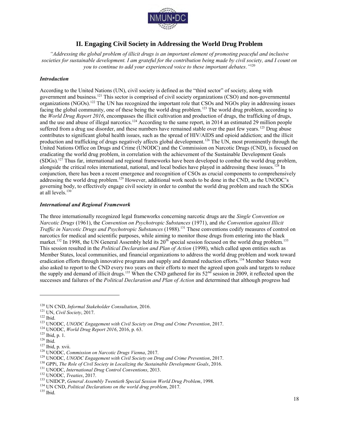

#### **II. Engaging Civil Society in Addressing the World Drug Problem**

*"Addressing the global problem of illicit drugs is an important element of promoting peaceful and inclusive societies for sustainable development. I am grateful for the contribution being made by civil society, and I count on you to continue to add your experienced voice to these important debates."*<sup>120</sup>

#### *Introduction*

According to the United Nations (UN), civil society is defined as the "third sector" of society, along with government and business.<sup>121</sup> This sector is comprised of civil society organizations (CSO) and non-governmental organizations (NGOs).<sup>122</sup> The UN has recognized the important role that CSOs and NGOs play in addressing issues facing the global community, one of these being the world drug problem.<sup>123</sup> The world drug problem, according to the *World Drug Report 2016*, encompasses the illicit cultivation and production of drugs, the trafficking of drugs, and the use and abuse of illegal narcotics.<sup>124</sup> According to the same report, in 2014 an estimated 29 million people suffered from a drug use disorder, and these numbers have remained stable over the past few years.<sup>125</sup> Drug abuse contributes to significant global health issues, such as the spread of HIV/AIDS and opioid addiction; and the illicit production and trafficking of drugs negatively affects global development.<sup>126</sup> The UN, most prominently through the United Nations Office on Drugs and Crime (UNODC) and the Commission on Narcotic Drugs (CND), is focused on eradicating the world drug problem, in correlation with the achievement of the Sustainable Development Goals (SDGs).<sup>127</sup> Thus far, international and regional frameworks have been developed to combat the world drug problem, alongside the critical roles international, national, and local bodies have played in addressing these issues.<sup>128</sup> In conjunction, there has been a recent emergence and recognition of CSOs as crucial components to comprehensively addressing the world drug problem.<sup>129</sup> However, additional work needs to be done in the CND, as the UNODC's governing body, to effectively engage civil society in order to combat the world drug problem and reach the SDGs at all levels.<sup>130</sup>

#### *International and Regional Framework*

The three internationally recognized legal frameworks concerning narcotic drugs are the *Single Convention on Narcotic Drugs* (1961), the *Convention on Psychotropic Substances* (1971), and *the Convention against Illicit Traffic in Narcotic Drugs and Psychotropic Substances* (1988).<sup>131</sup> These conventions codify measures of control on narcotics for medical and scientific purposes, while aiming to monitor those drugs from entering into the black market.<sup>132</sup> In 1998, the UN General Assembly held its  $20^{th}$  special session focused on the world drug problem.<sup>133</sup> This session resulted in the *Political Declaration and Plan of Action* (1998), which called upon entities such as Member States, local communities, and financial organizations to address the world drug problem and work toward eradication efforts through innovative programs and supply and demand reduction efforts.<sup>134</sup> Member States were also asked to report to the CND every two years on their efforts to meet the agreed upon goals and targets to reduce the supply and demand of illicit drugs.<sup>135</sup> When the CND gathered for its  $52<sup>nd</sup>$  session in 2009, it reflected upon the successes and failures of the *Political Declaration and Plan of Action* and determined that although progress had

<sup>120</sup> UN CND, *Informal Stakeholder Consultation*, 2016.

<sup>121</sup> UN, *Civil Society*, 2017.

<sup>122</sup> Ibid.

<sup>123</sup> UNODC, *UNODC Engagement with Civil Society on Drug and Crime Prevention*, 2017.

<sup>124</sup> UNODC, *World Drug Report 2016*, 2016, p. 63.

<sup>125</sup> Ibid, p. 1.

 $^{126}$  Ibid.

<sup>127</sup> Ibid, p. xvii.

<sup>128</sup> UNODC, *Commission on Narcotic Drugs Vienna*, 2017.

<sup>129</sup> UNODC, *UNODC Engagement with Civil Society on Drug and Crime Prevention*, 2017.

<sup>130</sup> GPPi, *The Role of Civil Society in Localizing the Sustainable Development Goals*, 2016.

<sup>131</sup> UNODC, *International Drug Control Conventions*, 2013.

<sup>132</sup> UNODC, *Treaties*, 2017.

<sup>133</sup> UNIDCP, *General Assembly Twentieth Special Session World Drug Problem*, 1998.

<sup>134</sup> UN CND, *Political Declarations on the world drug problem*, 2017.

 $^{135}$  Ibid.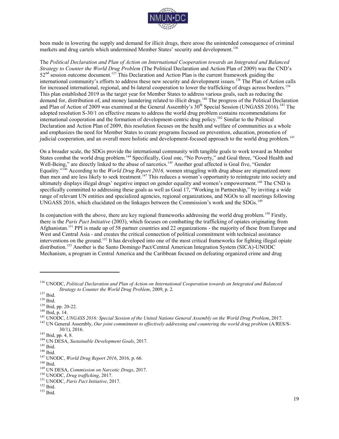

been made in lowering the supply and demand for illicit drugs, there arose the unintended consequence of criminal markets and drug cartels which undermined Member States' security and development.<sup>136</sup>

The *Political Declaration and Plan of Action on International Cooperation towards an Integrated and Balanced Strategy to Counter the World Drug Problem* (The Political Declaration and Action Plan of 2009) was the CND's  $52<sup>nd</sup>$  session outcome document.<sup>137</sup> This Declaration and Action Plan is the current framework guiding the international community's efforts to address these new security and development issues.<sup>138</sup> The Plan of Action calls for increased international, regional, and bi-lateral cooperation to lower the trafficking of drugs across borders.<sup>139</sup> This plan established 2019 as the target year for Member States to address various goals, such as reducing the demand for, distribution of, and money laundering related to illicit drugs.<sup>140</sup> The progress of the Political Declaration and Plan of Action of 2009 was examined at the General Assembly's 30<sup>th</sup> Special Session (UNGASS 2016).<sup>141</sup> The adopted resolution S-30/1 on effective means to address the world drug problem contains recommendations for international cooperation and the formation of development-centric drug policy.<sup>142</sup> Similar to the Political Declaration and Action Plan of 2009, this resolution focuses on the health and welfare of communities as a whole and emphasizes the need for Member States to create programs focused on prevention, education, promotion of judicial cooperation, and an overall more holistic and development-focused approach to the world drug problem.<sup>143</sup>

On a broader scale, the SDGs provide the international community with tangible goals to work toward as Member States combat the world drug problem.<sup>144</sup> Specifically, Goal one, "No Poverty," and Goal three, "Good Health and Well-Being," are directly linked to the abuse of narcotics.<sup>145</sup> Another goal affected is Goal five, "Gender Equality."<sup>146</sup> According to the *World Drug Report 2016,* women struggling with drug abuse are stigmatized more than men and are less likely to seek treatment.<sup>147</sup> This reduces a woman's opportunity to reintegrate into society and ultimately displays illegal drugs' negative impact on gender equality and women's empowerment.<sup>148</sup> The CND is specifically committed to addressing these goals as well as Goal 17, "Working in Partnership," by inviting a wide range of relevant UN entities and specialized agencies, regional organizations, and NGOs to all meetings following UNGASS 2016, which elucidated on the linkages between the Commission's work and the SDGs.<sup>149</sup>

In conjunction with the above, there are key regional frameworks addressing the world drug problem.<sup>150</sup> Firstly, there is the *Paris Pact Initiative* (2003), which focuses on combatting the trafficking of opiates originating from Afghanistan.<sup>151</sup> PPI is made up of 58 partner countries and 22 organizations - the majority of these from Europe and West and Central Asia - and creates the critical connection of political commitment with technical assistance interventions on the ground.<sup>152</sup> It has developed into one of the most critical frameworks for fighting illegal opiate distribution.<sup>153</sup> Another is the Santo Domingo Pact/Central American Integration System (SICA)-UNODC Mechanism, a program in Central America and the Caribbean focused on defeating organized crime and drug

 $\overline{a}$ 

<sup>140</sup> Ibid, p. 14.

<sup>136</sup> UNODC, *Political Declaration and Plan of Action on International Cooperation towards an Integrated and Balanced Strategy to Counter the World Drug Problem*, 2009, p. 2.

<sup>137</sup> Ibid.

<sup>138</sup> Ibid.

<sup>139</sup> Ibid, pp. 20-22.

<sup>141</sup> UNODC, *UNGASS 2016: Special Session of the United Nations General Assembly on the World Drug Problem*, 2017.

<sup>&</sup>lt;sup>142</sup> UN General Assembly, *Our joint commitment to effectively addressing and countering the world drug problem (A/RES/S-*30/1), 2016.

<sup>143</sup> Ibid, pp. 4, 8.

<sup>144</sup> UN DESA, *Sustainable Development Goals*, 2017.

<sup>145</sup> Ibid.

 $^{146}$  Ibid.

<sup>147</sup> UNODC, *World Drug Report 2016*, 2016, p. 66.

 $^{\rm 148}$  Ibid.

<sup>149</sup> UN DESA, *Commission on Narcotic Drugs*, 2017.

<sup>150</sup> UNODC, *Drug trafficking*, 2017.

<sup>151</sup> UNODC, *Paris Pact Initiative*, 2017.

 $152$  Ibid.

<sup>153</sup> Ibid.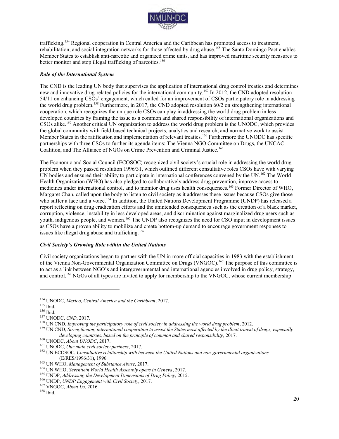

trafficking.<sup>154</sup> Regional cooperation in Central America and the Caribbean has promoted access to treatment, rehabilitation, and social integration networks for those affected by drug abuse.<sup>155</sup> The Santo Domingo Pact enables Member States to establish anti-narcotic and organized crime units, and has improved maritime security measures to better monitor and stop illegal trafficking of narcotics.<sup>156</sup>

#### *Role of the International System*

The CND is the leading UN body that supervises the application of international drug control treaties and determines new and innovative drug-related policies for the international community.<sup>157</sup> In 2012, the CND adopted resolution 54/11 on enhancing CSOs' engagement, which called for an improvement of CSOs participatory role in addressing the world drug problem.<sup>158</sup> Furthermore, in 2017, the CND adopted resolution 60/2 on strengthening international cooperation, which recognizes the unique role CSOs can play in addressing the world drug problem in less developed countries by framing the issue as a common and shared responsibility of international organizations and CSOs alike.<sup>159</sup> Another critical UN organization to address the world drug problem is the UNODC, which provides the global community with field-based technical projects, analytics and research, and normative work to assist Member States in the ratification and implementation of relevant treaties.<sup>160</sup> Furthermore the UNODC has specific partnerships with three CSOs to further its agenda items: The Vienna NGO Committee on Drugs, the UNCAC Coalition, and The Alliance of NGOs on Crime Prevention and Criminal Justice.<sup>161</sup>

The Economic and Social Council (ECOSOC) recognized civil society's crucial role in addressing the world drug problem when they passed resolution 1996/31, which outlined different consultative roles CSOs have with varying UN bodies and ensured their ability to participate in international conferences convened by the UN.<sup>162</sup> The World Health Organization (WHO) has also pledged to collaboratively address drug prevention, improve access to medicines under international control, and to monitor drug uses health consequences.<sup>163</sup> Former Director of WHO, Margaret Chan, called upon the body to listen to civil society as it addresses these issues because CSOs give those who suffer a face and a voice.<sup>164</sup> In addition, the United Nations Development Programme (UNDP) has released a report reflecting on drug eradication efforts and the unintended consequences such as the creation of a black market, corruption, violence, instability in less developed areas, and discrimination against marginalized drug users such as youth, indigenous people, and women.<sup>165</sup> The UNDP also recognizes the need for CSO input in development issues as CSOs have a proven ability to mobilize and create bottom-up demand to encourage government responses to issues like illegal drug abuse and trafficking.<sup>166</sup>

#### *Civil Society's Growing Role within the United Nations*

Civil society organizations began to partner with the UN in more official capacities in 1983 with the establishment of the Vienna Non-Governmental Organization Committee on Drugs (VNGOC).<sup>167</sup> The purpose of this committee is to act as a link between NGO's and intergovernmental and international agencies involved in drug policy, strategy, and control.<sup>168</sup> NGOs of all types are invited to apply for membership to the VNGOC, whose current membership

<sup>154</sup> UNODC, *Mexico, Central America and the Caribbean*, 2017.

<sup>155</sup> Ibid.

<sup>156</sup> Ibid.

<sup>157</sup> UNODC, *CND*, 2017.

<sup>158</sup> UN CND, *Improving the participatory role of civil society in addressing the world drug problem*, 2012.

<sup>159</sup> UN CND, *Strengthening international cooperation to assist the States most affected by the illicit transit of drugs, especially developing countries, based on the principle of common and shared responsibility*, 2017.

<sup>160</sup> UNODC, *About UNODC*, 2017.

<sup>161</sup> UNODC, *Our main civil society partners*, 2017.

<sup>162</sup> UN ECOSOC, *Consultative relationship with between the United Nations and non-governmental organizations*  (E/RES/1996/31), 1996.

<sup>163</sup> UN WHO, *Management of Substance Abuse*, 2017.

<sup>164</sup> UN WHO, *Seventieth World Health Assembly opens in Geneva*, 2017.

<sup>165</sup> UNDP, *Addressing the Development Dimensions of Drug Policy*, 2015.

<sup>166</sup> UNDP, *UNDP Engagement with Civil Society*, 2017.

<sup>167</sup> VNGOC, *About Us*, 2016.

<sup>168</sup> Ibid.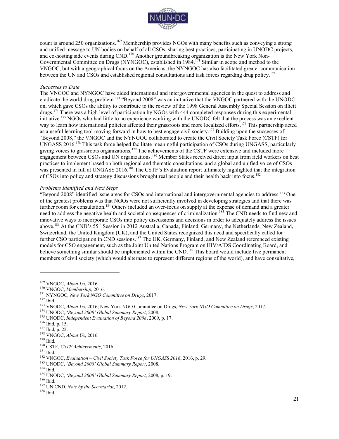

count is around 250 organizations.<sup>169</sup> Membership provides NGOs with many benefits such as conveying a strong and unified message to UN bodies on behalf of all CSOs, sharing best practices, participating in UNODC projects, and co-hosting side events during CND.<sup>170</sup> Another groundbreaking organization is the New York Non-Governmental Committee on Drugs (NYNGOC), established in 1984.<sup>171</sup> Similar in scope and method to the VNGOC, but with a geographical focus on the Americas, the NYNGOC has also facilitated greater communication between the UN and CSOs and established regional consultations and task forces regarding drug policy.<sup>172</sup>

#### *Successes to Date*

The VNGOC and NYNGOC have aided international and intergovernmental agencies in the quest to address and eradicate the world drug problem.<sup>173</sup> "Beyond 2008" was an initiative that the VNGOC partnered with the UNODC on, which gave CSOs the ability to contribute to the review of the 1998 General Assembly Special Session on illicit drugs.<sup>174</sup> There was a high level of participation by NGOs with 444 completed responses during this experimental initiative.<sup>175</sup> NGOs who had little to no experience working with the UNODC felt that the process was an excellent way to learn how international policies affected their grassroots and more localized efforts.<sup>176</sup> This partnership acted as a useful learning tool moving forward in how to best engage civil society.<sup>177</sup> Building upon the successes of "Beyond 2008," the VNGOC and the NYNGOC collaborated to create the Civil Society Task Force (CSTF) for UNGASS 2016.<sup>178</sup> This task force helped facilitate meaningful participation of CSOs during UNGASS, particularly giving voices to grassroots organizations.<sup>179</sup> The achievements of the CSTF were extensive and included more engagement between CSOs and UN organizations.<sup>180</sup> Member States received direct input from field workers on best practices to implement based on both regional and thematic consultations, and a global and unified voice of CSOs was presented in full at UNGASS 2016.<sup>181</sup> The CSTF's Evaluation report ultimately highlighted that the integration of CSOs into policy and strategy discussions brought real people and their health back into focus.<sup>182</sup>

#### *Problems Identified and Next Steps*

"Beyond 2008" identified issue areas for CSOs and international and intergovernmental agencies to address.<sup>183</sup> One of the greatest problems was that NGOs were not sufficiently involved in developing strategies and that there was further room for consultation.<sup>184</sup> Others included an over-focus on supply at the expense of demand and a greater need to address the negative health and societal consequences of criminalization.<sup>185</sup> The CND needs to find new and innovative ways to incorporate CSOs into policy discussions and decisions in order to adequately address the issues above.<sup>186</sup> At the CND's 55th Session in 2012 Australia, Canada, Finland, Germany, the Netherlands, New Zealand, Switzerland, the United Kingdom (UK), and the United States recognized this need and specifically called for further CSO participation in CND sessions.<sup>187</sup> The UK, Germany, Finland, and New Zealand referenced existing models for CSO engagement, such as the Joint United Nations Program on HIV/AIDS Coordinating Board, and believe something similar should be implemented within the CND.<sup>188</sup> This board would include five permanent members of civil society (which would alternate to represent different regions of the world), and have consultative,

<sup>172</sup> Ibid.

 $\overline{a}$ 

 $181$  Ibid.

<sup>182</sup> VNGOC, *Evaluation – Civil Society Task Force for UNGASS 2016*, 2016, p. 29.

<sup>169</sup> VNGOC, *About Us*, 2016.

<sup>170</sup> VNGOC, *Membership*, 2016.

<sup>171</sup> NYNGOC, *New York NGO Committee on Drugs*, 2017.

<sup>173</sup> VNGOC, *About Us*, 2016; New York NGO Committee on Drugs, *New York NGO Committee on Drugs*, 2017.

<sup>174</sup> UNODC, *'Beyond 2008' Global Summary Report*, 2008.

<sup>175</sup> UNODC, *Independent Evaluation of Beyond 2008*, 2009, p. 17.

<sup>176</sup> Ibid, p. 15.

<sup>177</sup> Ibid, p. 22.

<sup>178</sup> VNGOC, *About Us*, 2016.

<sup>179</sup> Ibid.

<sup>180</sup> CSTF, *CSTF Achievements*, 2016.

<sup>183</sup> UNODC, *'Beyond 2008' Global Summary Report*, 2008.

<sup>184</sup> Ibid.

<sup>185</sup> UNODC, *'Beyond 2008' Global Summary Report*, 2008, p. 19.

<sup>186</sup> Ibid.

<sup>187</sup> UN CND, *Note by the Secretariat*, 2012.

 $^{188}$  Ibid.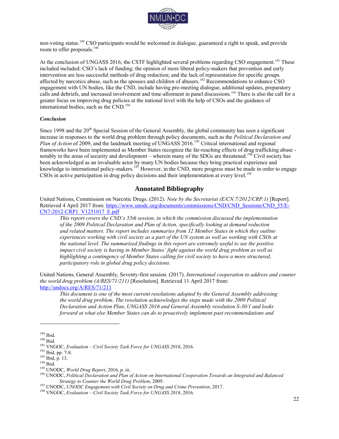

non-voting status.<sup>189</sup> CSO participants would be welcomed in dialogue, guaranteed a right to speak, and provide room to offer proposals.<sup>190</sup>

At the conclusion of UNGASS 2016, the CSTF highlighted several problems regarding CSO engagement.<sup>191</sup> These included included: CSO's lack of funding; the opinion of more liberal policy-makers that prevention and early intervention are less successful methods of drug reduction; and the lack of representation for specific groups affected by narcotics abuse, such as the spouses and children of abusers.<sup>192</sup> Recommendations to enhance CSO engagement with UN bodies, like the CND, include having pre-meeting dialogue, additional updates, preparatory calls and debriefs, and increased involvement and time-allotment in panel discussions.<sup>193</sup> There is also the call for a greater focus on improving drug policies at the national level with the help of CSOs and the guidance of international bodies, such as the CND.<sup>194</sup>

#### *Conclusion*

Since 1998 and the 20<sup>th</sup> Special Session of the General Assembly, the global community has seen a significant increase in responses to the world drug problem through policy documents, such as the *Political Declaration and Plan of Action* of 2009, and the landmark meeting of UNGASS 2016.<sup>195</sup> Critical international and regional frameworks have been implemented as Member States recognize the far-reaching effects of drug trafficking abuse notably in the areas of security and development – wherein many of the SDGs are threatened.<sup>196</sup> Civil society has been acknowledged as an invaluable actor by many UN bodies because they bring practical experience and knowledge to international policy-makers.<sup>197</sup> However, in the CND, more progress must be made in order to engage CSOs in active participation in drug policy decisions and their implementation at every level.<sup>198</sup>

#### **Annotated Bibliography**

United Nations, Commission on Narcotic Drugs. (2012). *Note by the Secretariat (E/CN.7/2012/CRP.1)* [Report]. Retrieved 4 April 2017 from[: https://www.unodc.org/documents/commissions/CND/CND\\_Sessions/CND\\_55/E-](https://www.unodc.org/documents/commissions/CND/CND_Sessions/CND_55/E-CN7-2012-CRP1_V1251017_E.pdf)[CN7-2012-CRP1\\_V1251017\\_E.pdf](https://www.unodc.org/documents/commissions/CND/CND_Sessions/CND_55/E-CN7-2012-CRP1_V1251017_E.pdf)

*This report covers the CND's 55th session, in which the commission discussed the implementation of the 2009 Political Declaration and Plan of Action, specifically looking at demand reduction and related matters. The report includes summaries from 32 Member States in which they outline experiences working with civil society as a part of the UN system as well as working with CSOs at the national level. The summarized findings in this report are extremely useful to see the positive impact civil society is having in Member States' fight against the world drug problem as well as highlighting a contingency of Member States calling for civil society to have a more structured, participatory role in global drug policy decisions.* 

United Nations, General Assembly, Seventy-first session. (2017). *International cooperation to address and counter the world drug problem (A/RES/71/211)* [Resolution]. Retrieved 11 April 2017 from: <http://undocs.org/A/RES/71/211>

*This document is one of the most current resolutions adopted by the General Assembly addressing the world drug problem. The resolution acknowledges the steps made with the 2009 Political Declaration and Action Plan, UNGASS 2016 and General Assembly resolution S-30/1 and looks forward at what else Member States can do to proactively implement past recommendations and* 

<sup>189</sup> Ibid.

 $190$  Ibid.

<sup>191</sup> VNGOC, *Evaluation – Civil Society Task Force for UNGASS 2016*, 2016.

<sup>192</sup> Ibid, pp. 7-8.

<sup>193</sup> Ibid, p. 13.

 $194$  Ibid.

<sup>195</sup> UNODC, *World Drug Report*, 2016, p. iii.

<sup>196</sup> UNODC, *Political Declaration and Plan of Action on International Cooperation Towards an Integrated and Balanced Strategy to Counter the World Drug Problem*, 2009.

<sup>197</sup> UNODC, *UNODC Engagement with Civil Society on Drug and Crime Prevention*, 2017.

<sup>198</sup> VNGOC, *Evaluation – Civil Society Task Force for UNGASS 2016*, 2016.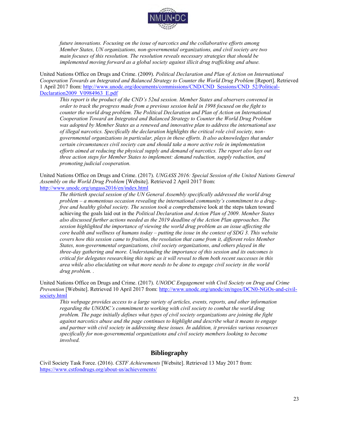

*future innovations. Focusing on the issue of narcotics and the collaborative efforts among Member States, UN organizations, non-governmental organizations, and civil society are two main focuses of this resolution. The resolution reveals necessary strategies that should be implemented moving forward as a global society against illicit drug trafficking and abuse.* 

United Nations Office on Drugs and Crime. (2009). *Political Declaration and Plan of Action on International Cooperation Towards an Integrated and Balanced Strategy to Counter the World Drug Problem [Report]. Retrieved* 1 April 2017 from: [http://www.unodc.org/documents/commissions/CND/CND\\_Sessions/CND\\_52/Political-](http://www.unodc.org/documents/commissions/CND/CND_Sessions/CND_52/Political-Declaration2009_V0984963_E.pdf)[Declaration2009\\_V0984963\\_E.pdf](http://www.unodc.org/documents/commissions/CND/CND_Sessions/CND_52/Political-Declaration2009_V0984963_E.pdf)

*This report is the product of the CND's 52nd session. Member States and observers convened in order to track the progress made from a previous session held in 1998 focused on the fight to counter the world drug problem. The Political Declaration and Plan of Action on International Cooperation Toward an Integrated and Balanced Strategy to Counter the World Drug Problem was adopted by Member States as a renewed and innovative plan to address the international use of illegal narcotics. Specifically the declaration highlights the critical role civil society, nongovernmental organizations in particular, plays in these efforts. It also acknowledges that under certain circumstances civil society can and should take a more active role in implementation efforts aimed at reducing the physical supply and demand of narcotics. The report also lays out three action steps for Member States to implement: demand reduction, supply reduction, and promoting judicial cooperation.* 

United Nations Office on Drugs and Crime. (2017). *UNGASS 2016: Special Session of the United Nations General Assembly on the World Drug Problem* [Website]. Retrieved 2 April 2017 from: <http://www.unodc.org/ungass2016/en/index.html>

*The thirtieth special session of the UN General Assembly specifically addressed the world drug problem – a momentous occasion revealing the international community's commitment to a drugfree and healthy global society. The session took a compr*ehensive look at the steps taken toward achieving the goals laid out in the *Political Declaration and Action Plan of 2009. Member States also discussed further actions needed as the 2019 deadline of the Action Plan approaches. The session highlighted the importance of viewing the world drug problem as an issue affecting the core health and wellness of humans today – putting the issue in the context of SDG 3. This website covers how this session came to fruition, the resolution that came from it, different roles Member States, non-governmental organizations, civil society organizations, and others played in the three-day gathering and more. Understanding the importance of this session and its outcomes is critical for delegates researching this topic as it will reveal to them both recent successes in this area while also elucidating on what more needs to be done to engage civil society in the world drug problem. .* 

United Nations Office on Drugs and Crime. (2017). *UNODC Engagement with Civil Society on Drug and Crime Prevention* [Website]. Retrieved 10 April 2017 from: [http://www.unodc.org/unodc/en/ngos/DCN0-NGOs-and-civil](http://www.unodc.org/unodc/en/ngos/DCN0-NGOs-and-civil-society.html)[society.html](http://www.unodc.org/unodc/en/ngos/DCN0-NGOs-and-civil-society.html)

*This webpage provides access to a large variety of articles, events, reports, and other information regarding the UNODC's commitment to working with civil society to combat the world drug problem. The page initially defines what types of civil society organizations are joining the fight against narcotics abuse and the page continues to highlight and describe what it means to engage and partner with civil society in addressing these issues. In addition, it provides various resources specifically for non-governmental organizations and civil society members looking to become involved.* 

#### **Bibliography**

Civil Society Task Force. (2016). *CSTF Achievements* [Website]. Retrieved 13 May 2017 from: <https://www.cstfondrugs.org/about-us/achievements/>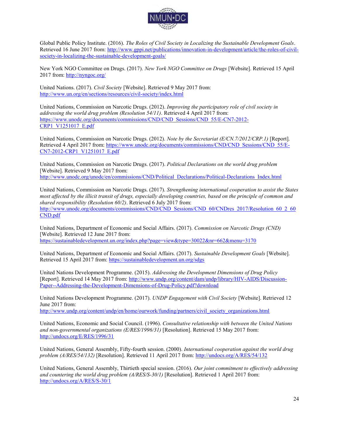

Global Public Policy Institute. (2016). *The Roles of Civil Society in Localizing the Sustainable Development Goals*. Retrieved 16 June 2017 from: [http://www.gppi.net/publications/innovation-in-development/article/the-roles-of-civil](http://www.gppi.net/publications/innovation-in-development/article/the-roles-of-civil-society-in-localizing-the-sustainable-development-goals/)[society-in-localizing-the-sustainable-development-goals/](http://www.gppi.net/publications/innovation-in-development/article/the-roles-of-civil-society-in-localizing-the-sustainable-development-goals/)

New York NGO Committee on Drugs. (2017). *New York NGO Committee on Drugs* [Website]. Retrieved 15 April 2017 from:<http://nyngoc.org/>

United Nations. (2017). *Civil Society* [Website]. Retrieved 9 May 2017 from: <http://www.un.org/en/sections/resources/civil-society/index.html>

United Nations, Commission on Narcotic Drugs. (2012). *Improving the participatory role of civil society in addressing the world drug problem (Resolution 54/11)*. Retrieved 4 April 2017 from: [https://www.unodc.org/documents/commissions/CND/CND\\_Sessions/CND\\_55/E-CN7-2012-](https://www.unodc.org/documents/commissions/CND/CND_Sessions/CND_55/E-CN7-2012-CRP1_V1251017_E.pdf) [CRP1\\_V1251017\\_E.pdf](https://www.unodc.org/documents/commissions/CND/CND_Sessions/CND_55/E-CN7-2012-CRP1_V1251017_E.pdf)

United Nations, Commission on Narcotic Drugs. (2012). *Note by the Secretariat (E/CN.7/2012/CRP.1)* [Report]. Retrieved 4 April 2017 from[: https://www.unodc.org/documents/commissions/CND/CND\\_Sessions/CND\\_55/E-](https://www.unodc.org/documents/commissions/CND/CND_Sessions/CND_55/E-CN7-2012-CRP1_V1251017_E.pdf)[CN7-2012-CRP1\\_V1251017\\_E.pdf](https://www.unodc.org/documents/commissions/CND/CND_Sessions/CND_55/E-CN7-2012-CRP1_V1251017_E.pdf)

United Nations, Commission on Narcotic Drugs. (2017). *Political Declarations on the world drug problem*  [Website]. Retrieved 9 May 2017 from: [http://www.unodc.org/unodc/en/commissions/CND/Political\\_Declarations/Political-Declarations\\_Index.html](http://www.unodc.org/unodc/en/commissions/CND/Political_Declarations/Political-Declarations_Index.html)

United Nations, Commission on Narcotic Drugs. (2017). *Strengthening international cooperation to assist the States most affected by the illicit transit of drugs, especially developing countries, based on the principle of common and shared responsibility (Resolution 60/2)*. Retrieved 6 July 2017 from: [http://www.unodc.org/documents/commissions/CND/CND\\_Sessions/CND\\_60/CNDres\\_2017/Resolution\\_60\\_2\\_60](http://www.unodc.org/documents/commissions/CND/CND_Sessions/CND_60/CNDres_2017/Resolution_60_2_60CND.pdf)\_ [CND.pdf](http://www.unodc.org/documents/commissions/CND/CND_Sessions/CND_60/CNDres_2017/Resolution_60_2_60CND.pdf)

United Nations, Department of Economic and Social Affairs. (2017). *Commission on Narcotic Drugs (CND)*  [Website]. Retrieved 12 June 2017 from: <https://sustainabledevelopment.un.org/index.php?page=view&type=30022&nr=662&menu=3170>

United Nations, Department of Economic and Social Affairs. (2017). *Sustainable Development Goals* [Website]. Retrieved 15 April 2017 from:<https://sustainabledevelopment.un.org/sdgs>

United Nations Development Programme. (2015). *Addressing the Development Dimensions of Drug Policy*  [Report]. Retrieved 14 May 2017 from: [http://www.undp.org/content/dam/undp/library/HIV-AIDS/Discussion-](http://www.undp.org/content/dam/undp/library/HIV-AIDS/Discussion-Paper--Addressing-the-Development-Dimensions-of-Drug-Policy.pdf?download)[Paper--Addressing-the-Development-Dimensions-of-Drug-Policy.pdf?download](http://www.undp.org/content/dam/undp/library/HIV-AIDS/Discussion-Paper--Addressing-the-Development-Dimensions-of-Drug-Policy.pdf?download) 

United Nations Development Programme. (2017). *UNDP Engagement with Civil Society* [Website]. Retrieved 12 June 2017 from:

[http://www.undp.org/content/undp/en/home/ourwork/funding/partners/civil\\_society\\_organizations.html](http://www.undp.org/content/undp/en/home/ourwork/funding/partners/civil_society_organizations.html)

United Nations, Economic and Social Council. (1996). *Consultative relationship with between the United Nations and non-governmental organizations (E/RES/1996/31)* [Resolution]. Retrieved 15 May 2017 from: <http://undocs.org/E/RES/1996/31>

United Nations, General Assembly, Fifty-fourth session. (2000). *International cooperation against the world drug problem (A/RES/54/132)* [Resolution]. Retrieved 11 April 2017 from:<http://undocs.org/A/RES/54/132>

United Nations, General Assembly, Thirtieth special session. (2016). *Our joint commitment to effectively addressing and countering the world drug problem (A/RES/S-30/1)* [Resolution]. Retrieved 1 April 2017 from: <http://undocs.org/A/RES/S-30/1>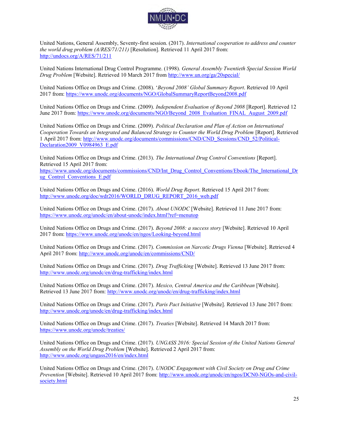

United Nations, General Assembly, Seventy-first session. (2017). *International cooperation to address and counter the world drug problem (A/RES/71/211)* [Resolution]. Retrieved 11 April 2017 from: <http://undocs.org/A/RES/71/211>

United Nations International Drug Control Programme. (1998). *General Assembly Twentieth Special Session World Drug Problem* [Website]. Retrieved 10 March 2017 from<http://www.un.org/ga/20special/>

United Nations Office on Drugs and Crime. (2008). '*Beyond 2008' Global Summary Report*. Retrieved 10 April 2017 from:<https://www.unodc.org/documents/NGO/GlobalSummaryReportBeyond2008.pdf>

United Nations Office on Drugs and Crime. (2009). *Independent Evaluation of Beyond 2008* [Report]. Retrieved 12 June 2017 from: [https://www.unodc.org/documents/NGO/Beyond\\_2008\\_Evaluation\\_FINAL\\_August\\_2009.pdf](https://www.unodc.org/documents/NGO/Beyond_2008_Evaluation_FINAL_August_2009.pdf)

United Nations Office on Drugs and Crime. (2009). *Political Declaration and Plan of Action on International Cooperation Towards an Integrated and Balanced Strategy to Counter the World Drug Problem [Report]*. Retrieved 1 April 2017 from: [http://www.unodc.org/documents/commissions/CND/CND\\_Sessions/CND\\_52/Political-](http://www.unodc.org/documents/commissions/CND/CND_Sessions/CND_52/Political-Declaration2009_V0984963_E.pdf)[Declaration2009\\_V0984963\\_E.pdf](http://www.unodc.org/documents/commissions/CND/CND_Sessions/CND_52/Political-Declaration2009_V0984963_E.pdf)

United Nations Office on Drugs and Crime. (2013). *The International Drug Control Conventions* [Report]. Retrieved 15 April 2017 from:

[https://www.unodc.org/documents/commissions/CND/Int\\_Drug\\_Control\\_Conventions/Ebook/The\\_International\\_Dr](https://www.unodc.org/documents/commissions/CND/Int_Drug_Control_Conventions/Ebook/The_International_Drug_Control_Conventions_E.pdf) ug<sup>Control</sup> Conventions E.pdf

United Nations Office on Drugs and Crime. (2016). *World Drug Report*. Retrieved 15 April 2017 from: [http://www.unodc.org/doc/wdr2016/WORLD\\_DRUG\\_REPORT\\_2016\\_web.pdf](http://www.unodc.org/doc/wdr2016/WORLD_DRUG_REPORT_2016_web.pdf)

United Nations Office on Drugs and Crime. (2017). *About UNODC* [Website]. Retrieved 11 June 2017 from: <https://www.unodc.org/unodc/en/about-unodc/index.html?ref=menutop>

United Nations Office on Drugs and Crime. (2017). *Beyond 2008: a success story* [Website]. Retrieved 10 April 2017 from:<https://www.unodc.org/unodc/en/ngos/Looking-beyond.html>

United Nations Office on Drugs and Crime. (2017). *Commission on Narcotic Drugs Vienna* [Website]. Retrieved 4 April 2017 from:<http://www.unodc.org/unodc/en/commissions/CND/>

United Nations Office on Drugs and Crime. (2017). *Drug Trafficking* [Website]. Retrieved 13 June 2017 from: <http://www.unodc.org/unodc/en/drug-trafficking/index.html>

United Nations Office on Drugs and Crime. (2017). *Mexico, Central America and the Caribbean* [Website]. Retrieved 13 June 2017 from:<http://www.unodc.org/unodc/en/drug-trafficking/index.html>

United Nations Office on Drugs and Crime. (2017). *Paris Pact Initiative* [Website]. Retrieved 13 June 2017 from: <http://www.unodc.org/unodc/en/drug-trafficking/index.html>

United Nations Office on Drugs and Crime. (2017). *Treaties* [Website]. Retrieved 14 March 2017 from: <https://www.unodc.org/unodc/treaties/>

United Nations Office on Drugs and Crime. (2017). *UNGASS 2016: Special Session of the United Nations General Assembly on the World Drug Problem* [Website]. Retrieved 2 April 2017 from: <http://www.unodc.org/ungass2016/en/index.html>

United Nations Office on Drugs and Crime. (2017). *UNODC Engagement with Civil Society on Drug and Crime Prevention* [Website]. Retrieved 10 April 2017 from: [http://www.unodc.org/unodc/en/ngos/DCN0-NGOs-and-civil](http://www.unodc.org/unodc/en/ngos/DCN0-NGOs-and-civil-society.html)[society.html](http://www.unodc.org/unodc/en/ngos/DCN0-NGOs-and-civil-society.html)